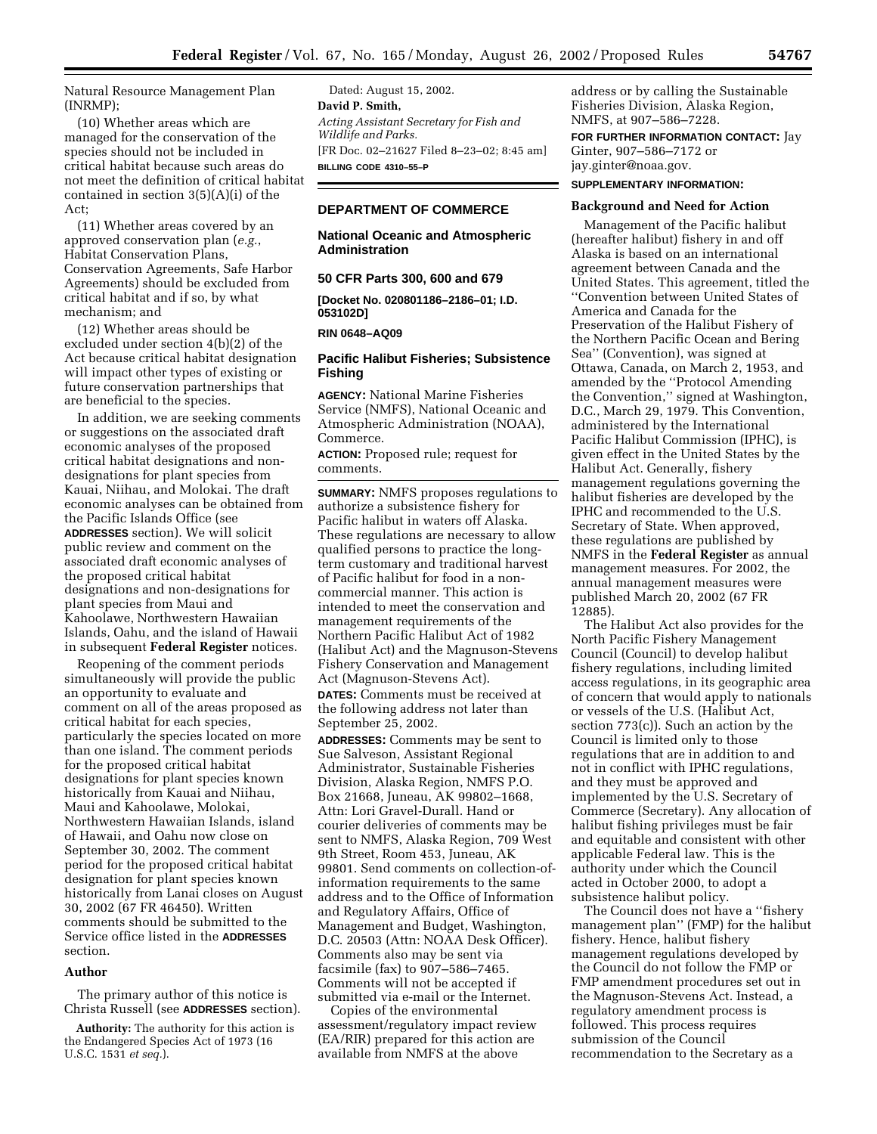Natural Resource Management Plan (INRMP);

(10) Whether areas which are managed for the conservation of the species should not be included in critical habitat because such areas do not meet the definition of critical habitat contained in section 3(5)(A)(i) of the Act;

(11) Whether areas covered by an approved conservation plan (*e.g.*, Habitat Conservation Plans, Conservation Agreements, Safe Harbor Agreements) should be excluded from critical habitat and if so, by what mechanism; and

(12) Whether areas should be excluded under section 4(b)(2) of the Act because critical habitat designation will impact other types of existing or future conservation partnerships that are beneficial to the species.

In addition, we are seeking comments or suggestions on the associated draft economic analyses of the proposed critical habitat designations and nondesignations for plant species from Kauai, Niihau, and Molokai. The draft economic analyses can be obtained from the Pacific Islands Office (see **ADDRESSES** section). We will solicit public review and comment on the associated draft economic analyses of the proposed critical habitat designations and non-designations for plant species from Maui and Kahoolawe, Northwestern Hawaiian Islands, Oahu, and the island of Hawaii in subsequent **Federal Register** notices.

Reopening of the comment periods simultaneously will provide the public an opportunity to evaluate and comment on all of the areas proposed as critical habitat for each species, particularly the species located on more than one island. The comment periods for the proposed critical habitat designations for plant species known historically from Kauai and Niihau, Maui and Kahoolawe, Molokai, Northwestern Hawaiian Islands, island of Hawaii, and Oahu now close on September 30, 2002. The comment period for the proposed critical habitat designation for plant species known historically from Lanai closes on August 30, 2002 (67 FR 46450). Written comments should be submitted to the Service office listed in the **ADDRESSES** section.

#### **Author**

The primary author of this notice is Christa Russell (see **ADDRESSES** section).

Dated: August 15, 2002. **David P. Smith,**  *Acting Assistant Secretary for Fish and Wildlife and Parks.* [FR Doc. 02–21627 Filed 8–23–02; 8:45 am] **BILLING CODE 4310–55–P**

### **DEPARTMENT OF COMMERCE**

### **National Oceanic and Atmospheric Administration**

**50 CFR Parts 300, 600 and 679**

**[Docket No. 020801186–2186–01; I.D. 053102D]**

#### **RIN 0648–AQ09**

### **Pacific Halibut Fisheries; Subsistence Fishing**

**AGENCY:** National Marine Fisheries Service (NMFS), National Oceanic and Atmospheric Administration (NOAA), Commerce.

**ACTION:** Proposed rule; request for comments.

**SUMMARY:** NMFS proposes regulations to authorize a subsistence fishery for Pacific halibut in waters off Alaska. These regulations are necessary to allow qualified persons to practice the longterm customary and traditional harvest of Pacific halibut for food in a noncommercial manner. This action is intended to meet the conservation and management requirements of the Northern Pacific Halibut Act of 1982 (Halibut Act) and the Magnuson-Stevens Fishery Conservation and Management Act (Magnuson-Stevens Act).

**DATES:** Comments must be received at the following address not later than September 25, 2002.

**ADDRESSES:** Comments may be sent to Sue Salveson, Assistant Regional Administrator, Sustainable Fisheries Division, Alaska Region, NMFS P.O. Box 21668, Juneau, AK 99802–1668, Attn: Lori Gravel-Durall. Hand or courier deliveries of comments may be sent to NMFS, Alaska Region, 709 West 9th Street, Room 453, Juneau, AK 99801. Send comments on collection-ofinformation requirements to the same address and to the Office of Information and Regulatory Affairs, Office of Management and Budget, Washington, D.C. 20503 (Attn: NOAA Desk Officer). Comments also may be sent via facsimile (fax) to 907–586–7465. Comments will not be accepted if submitted via e-mail or the Internet.

Copies of the environmental assessment/regulatory impact review (EA/RIR) prepared for this action are available from NMFS at the above

address or by calling the Sustainable Fisheries Division, Alaska Region, NMFS, at 907–586–7228.

#### **FOR FURTHER INFORMATION CONTACT:** Jay

Ginter, 907–586–7172 or jay.ginter@noaa.gov.

## **SUPPLEMENTARY INFORMATION:**

#### **Background and Need for Action**

Management of the Pacific halibut (hereafter halibut) fishery in and off Alaska is based on an international agreement between Canada and the United States. This agreement, titled the ''Convention between United States of America and Canada for the Preservation of the Halibut Fishery of the Northern Pacific Ocean and Bering Sea'' (Convention), was signed at Ottawa, Canada, on March 2, 1953, and amended by the ''Protocol Amending the Convention,'' signed at Washington, D.C., March 29, 1979. This Convention, administered by the International Pacific Halibut Commission (IPHC), is given effect in the United States by the Halibut Act. Generally, fishery management regulations governing the halibut fisheries are developed by the IPHC and recommended to the U.S. Secretary of State. When approved, these regulations are published by NMFS in the **Federal Register** as annual management measures. For 2002, the annual management measures were published March 20, 2002 (67 FR 12885).

The Halibut Act also provides for the North Pacific Fishery Management Council (Council) to develop halibut fishery regulations, including limited access regulations, in its geographic area of concern that would apply to nationals or vessels of the U.S. (Halibut Act, section 773(c)). Such an action by the Council is limited only to those regulations that are in addition to and not in conflict with IPHC regulations, and they must be approved and implemented by the U.S. Secretary of Commerce (Secretary). Any allocation of halibut fishing privileges must be fair and equitable and consistent with other applicable Federal law. This is the authority under which the Council acted in October 2000, to adopt a subsistence halibut policy.

The Council does not have a ''fishery management plan'' (FMP) for the halibut fishery. Hence, halibut fishery management regulations developed by the Council do not follow the FMP or FMP amendment procedures set out in the Magnuson-Stevens Act. Instead, a regulatory amendment process is followed. This process requires submission of the Council recommendation to the Secretary as a

**Authority:** The authority for this action is the Endangered Species Act of 1973 (16 U.S.C. 1531 *et seq.*).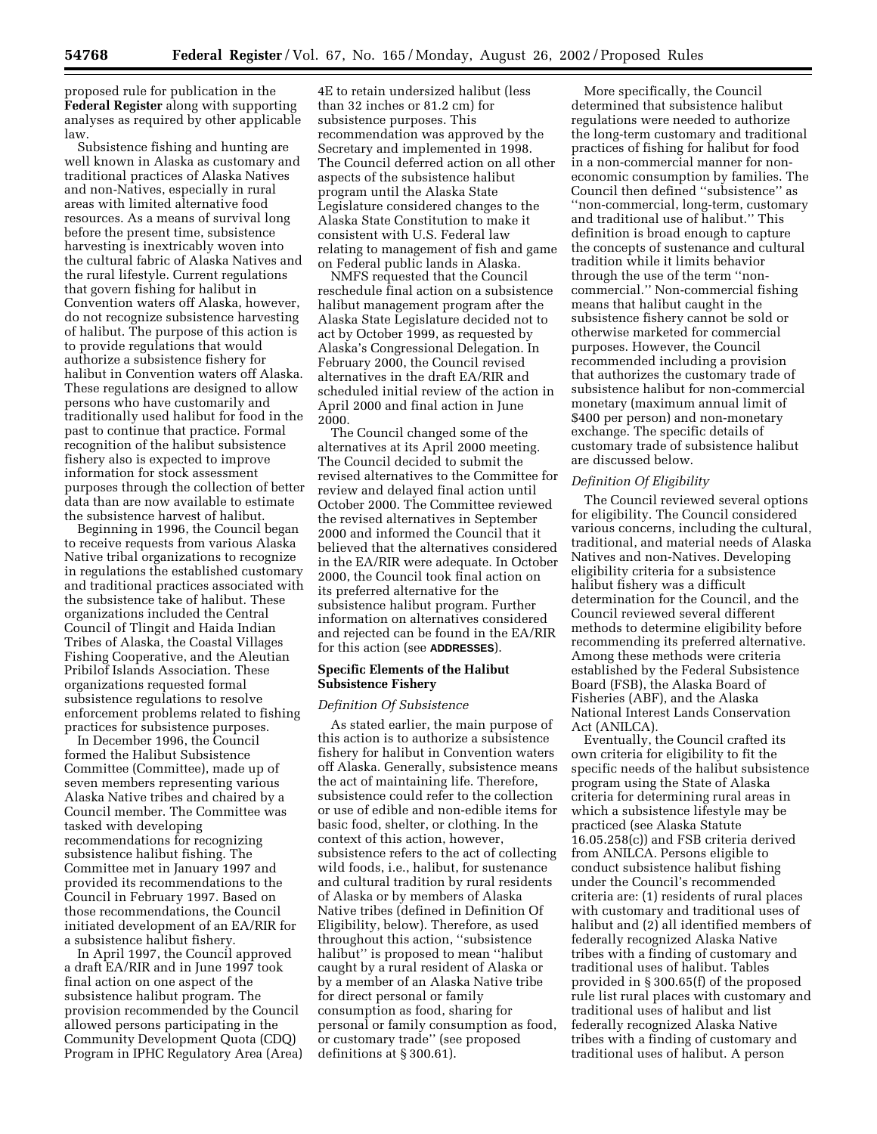proposed rule for publication in the **Federal Register** along with supporting analyses as required by other applicable law.

Subsistence fishing and hunting are well known in Alaska as customary and traditional practices of Alaska Natives and non-Natives, especially in rural areas with limited alternative food resources. As a means of survival long before the present time, subsistence harvesting is inextricably woven into the cultural fabric of Alaska Natives and the rural lifestyle. Current regulations that govern fishing for halibut in Convention waters off Alaska, however, do not recognize subsistence harvesting of halibut. The purpose of this action is to provide regulations that would authorize a subsistence fishery for halibut in Convention waters off Alaska. These regulations are designed to allow persons who have customarily and traditionally used halibut for food in the past to continue that practice. Formal recognition of the halibut subsistence fishery also is expected to improve information for stock assessment purposes through the collection of better data than are now available to estimate the subsistence harvest of halibut.

Beginning in 1996, the Council began to receive requests from various Alaska Native tribal organizations to recognize in regulations the established customary and traditional practices associated with the subsistence take of halibut. These organizations included the Central Council of Tlingit and Haida Indian Tribes of Alaska, the Coastal Villages Fishing Cooperative, and the Aleutian Pribilof Islands Association. These organizations requested formal subsistence regulations to resolve enforcement problems related to fishing practices for subsistence purposes.

In December 1996, the Council formed the Halibut Subsistence Committee (Committee), made up of seven members representing various Alaska Native tribes and chaired by a Council member. The Committee was tasked with developing recommendations for recognizing subsistence halibut fishing. The Committee met in January 1997 and provided its recommendations to the Council in February 1997. Based on those recommendations, the Council initiated development of an EA/RIR for a subsistence halibut fishery.

In April 1997, the Council approved a draft EA/RIR and in June 1997 took final action on one aspect of the subsistence halibut program. The provision recommended by the Council allowed persons participating in the Community Development Quota (CDQ) Program in IPHC Regulatory Area (Area)

4E to retain undersized halibut (less than 32 inches or 81.2 cm) for subsistence purposes. This recommendation was approved by the Secretary and implemented in 1998. The Council deferred action on all other aspects of the subsistence halibut program until the Alaska State Legislature considered changes to the Alaska State Constitution to make it consistent with U.S. Federal law relating to management of fish and game on Federal public lands in Alaska.

NMFS requested that the Council reschedule final action on a subsistence halibut management program after the Alaska State Legislature decided not to act by October 1999, as requested by Alaska's Congressional Delegation. In February 2000, the Council revised alternatives in the draft EA/RIR and scheduled initial review of the action in April 2000 and final action in June 2000.

The Council changed some of the alternatives at its April 2000 meeting. The Council decided to submit the revised alternatives to the Committee for review and delayed final action until October 2000. The Committee reviewed the revised alternatives in September 2000 and informed the Council that it believed that the alternatives considered in the EA/RIR were adequate. In October 2000, the Council took final action on its preferred alternative for the subsistence halibut program. Further information on alternatives considered and rejected can be found in the EA/RIR for this action (see **ADDRESSES**).

### **Specific Elements of the Halibut Subsistence Fishery**

#### *Definition Of Subsistence*

As stated earlier, the main purpose of this action is to authorize a subsistence fishery for halibut in Convention waters off Alaska. Generally, subsistence means the act of maintaining life. Therefore, subsistence could refer to the collection or use of edible and non-edible items for basic food, shelter, or clothing. In the context of this action, however, subsistence refers to the act of collecting wild foods, i.e., halibut, for sustenance and cultural tradition by rural residents of Alaska or by members of Alaska Native tribes (defined in Definition Of Eligibility, below). Therefore, as used throughout this action, ''subsistence halibut'' is proposed to mean ''halibut caught by a rural resident of Alaska or by a member of an Alaska Native tribe for direct personal or family consumption as food, sharing for personal or family consumption as food, or customary trade'' (see proposed definitions at § 300.61).

More specifically, the Council determined that subsistence halibut regulations were needed to authorize the long-term customary and traditional practices of fishing for halibut for food in a non-commercial manner for noneconomic consumption by families. The Council then defined ''subsistence'' as ''non-commercial, long-term, customary and traditional use of halibut.'' This definition is broad enough to capture the concepts of sustenance and cultural tradition while it limits behavior through the use of the term ''noncommercial.'' Non-commercial fishing means that halibut caught in the subsistence fishery cannot be sold or otherwise marketed for commercial purposes. However, the Council recommended including a provision that authorizes the customary trade of subsistence halibut for non-commercial monetary (maximum annual limit of \$400 per person) and non-monetary exchange. The specific details of customary trade of subsistence halibut are discussed below.

### *Definition Of Eligibility*

The Council reviewed several options for eligibility. The Council considered various concerns, including the cultural, traditional, and material needs of Alaska Natives and non-Natives. Developing eligibility criteria for a subsistence halibut fishery was a difficult determination for the Council, and the Council reviewed several different methods to determine eligibility before recommending its preferred alternative. Among these methods were criteria established by the Federal Subsistence Board (FSB), the Alaska Board of Fisheries (ABF), and the Alaska National Interest Lands Conservation Act (ANILCA).

Eventually, the Council crafted its own criteria for eligibility to fit the specific needs of the halibut subsistence program using the State of Alaska criteria for determining rural areas in which a subsistence lifestyle may be practiced (see Alaska Statute 16.05.258(c)) and FSB criteria derived from ANILCA. Persons eligible to conduct subsistence halibut fishing under the Council's recommended criteria are: (1) residents of rural places with customary and traditional uses of halibut and (2) all identified members of federally recognized Alaska Native tribes with a finding of customary and traditional uses of halibut. Tables provided in § 300.65(f) of the proposed rule list rural places with customary and traditional uses of halibut and list federally recognized Alaska Native tribes with a finding of customary and traditional uses of halibut. A person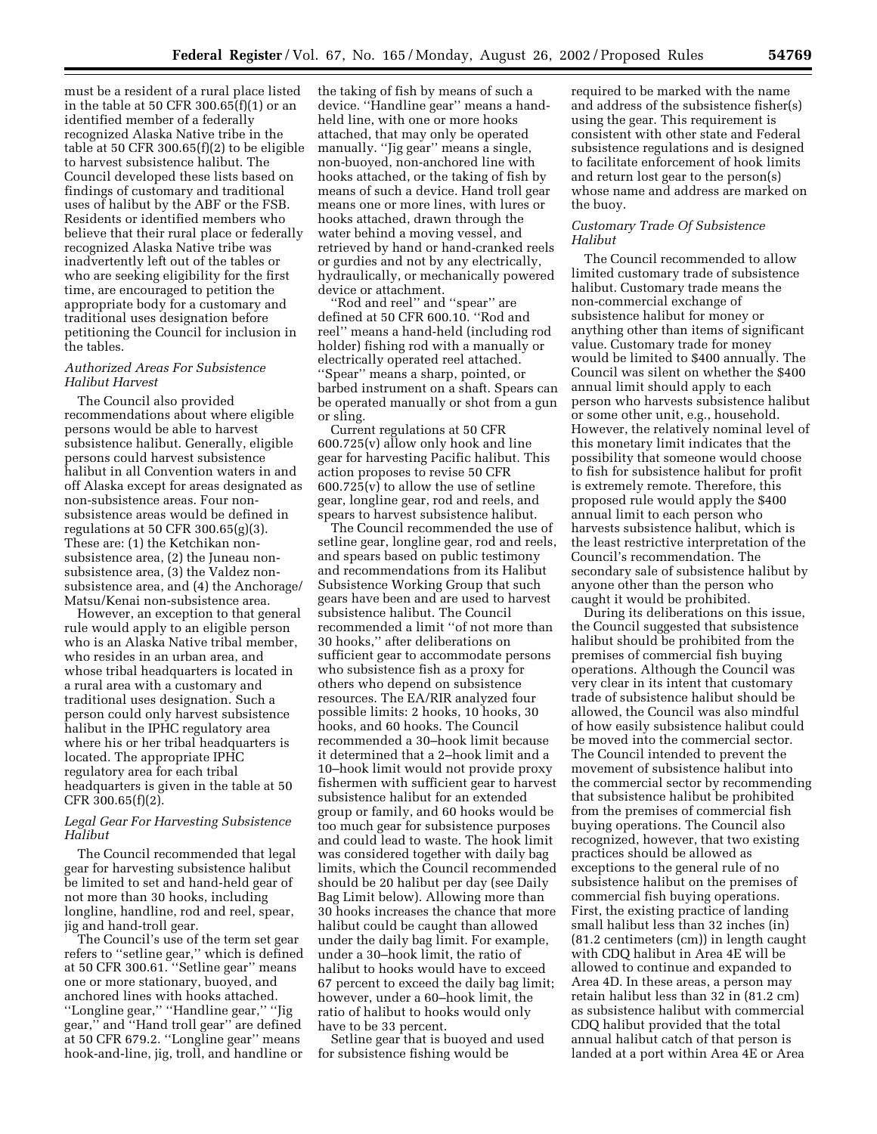must be a resident of a rural place listed in the table at 50 CFR 300.65(f)(1) or an identified member of a federally recognized Alaska Native tribe in the table at 50 CFR 300.65(f)(2) to be eligible to harvest subsistence halibut. The Council developed these lists based on findings of customary and traditional uses of halibut by the ABF or the FSB. Residents or identified members who believe that their rural place or federally recognized Alaska Native tribe was inadvertently left out of the tables or who are seeking eligibility for the first time, are encouraged to petition the appropriate body for a customary and traditional uses designation before petitioning the Council for inclusion in the tables.

### *Authorized Areas For Subsistence Halibut Harvest*

The Council also provided recommendations about where eligible persons would be able to harvest subsistence halibut. Generally, eligible persons could harvest subsistence halibut in all Convention waters in and off Alaska except for areas designated as non-subsistence areas. Four nonsubsistence areas would be defined in regulations at 50 CFR 300.65(g)(3). These are: (1) the Ketchikan nonsubsistence area, (2) the Juneau nonsubsistence area, (3) the Valdez nonsubsistence area, and (4) the Anchorage/ Matsu/Kenai non-subsistence area.

However, an exception to that general rule would apply to an eligible person who is an Alaska Native tribal member, who resides in an urban area, and whose tribal headquarters is located in a rural area with a customary and traditional uses designation. Such a person could only harvest subsistence halibut in the IPHC regulatory area where his or her tribal headquarters is located. The appropriate IPHC regulatory area for each tribal headquarters is given in the table at 50 CFR 300.65(f)(2).

### *Legal Gear For Harvesting Subsistence Halibut*

The Council recommended that legal gear for harvesting subsistence halibut be limited to set and hand-held gear of not more than 30 hooks, including longline, handline, rod and reel, spear, jig and hand-troll gear.

The Council's use of the term set gear refers to ''setline gear,'' which is defined at 50 CFR 300.61. ''Setline gear'' means one or more stationary, buoyed, and anchored lines with hooks attached. ''Longline gear,'' ''Handline gear,'' ''Jig gear,'' and ''Hand troll gear'' are defined at 50 CFR 679.2. ''Longline gear'' means hook-and-line, jig, troll, and handline or

the taking of fish by means of such a device. ''Handline gear'' means a handheld line, with one or more hooks attached, that may only be operated manually. ''Jig gear'' means a single, non-buoyed, non-anchored line with hooks attached, or the taking of fish by means of such a device. Hand troll gear means one or more lines, with lures or hooks attached, drawn through the water behind a moving vessel, and retrieved by hand or hand-cranked reels or gurdies and not by any electrically, hydraulically, or mechanically powered device or attachment.

''Rod and reel'' and ''spear'' are defined at 50 CFR 600.10. ''Rod and reel'' means a hand-held (including rod holder) fishing rod with a manually or electrically operated reel attached. ''Spear'' means a sharp, pointed, or barbed instrument on a shaft. Spears can be operated manually or shot from a gun or sling.

Current regulations at 50 CFR 600.725(v) allow only hook and line gear for harvesting Pacific halibut. This action proposes to revise 50 CFR 600.725(v) to allow the use of setline gear, longline gear, rod and reels, and spears to harvest subsistence halibut.

The Council recommended the use of setline gear, longline gear, rod and reels, and spears based on public testimony and recommendations from its Halibut Subsistence Working Group that such gears have been and are used to harvest subsistence halibut. The Council recommended a limit ''of not more than 30 hooks,'' after deliberations on sufficient gear to accommodate persons who subsistence fish as a proxy for others who depend on subsistence resources. The EA/RIR analyzed four possible limits: 2 hooks, 10 hooks, 30 hooks, and 60 hooks. The Council recommended a 30–hook limit because it determined that a 2–hook limit and a 10–hook limit would not provide proxy fishermen with sufficient gear to harvest subsistence halibut for an extended group or family, and 60 hooks would be too much gear for subsistence purposes and could lead to waste. The hook limit was considered together with daily bag limits, which the Council recommended should be 20 halibut per day (see Daily Bag Limit below). Allowing more than 30 hooks increases the chance that more halibut could be caught than allowed under the daily bag limit. For example, under a 30–hook limit, the ratio of halibut to hooks would have to exceed 67 percent to exceed the daily bag limit; however, under a 60–hook limit, the ratio of halibut to hooks would only have to be 33 percent.

Setline gear that is buoyed and used for subsistence fishing would be

required to be marked with the name and address of the subsistence fisher(s) using the gear. This requirement is consistent with other state and Federal subsistence regulations and is designed to facilitate enforcement of hook limits and return lost gear to the person(s) whose name and address are marked on the buoy.

### *Customary Trade Of Subsistence Halibut*

The Council recommended to allow limited customary trade of subsistence halibut. Customary trade means the non-commercial exchange of subsistence halibut for money or anything other than items of significant value. Customary trade for money would be limited to \$400 annually. The Council was silent on whether the \$400 annual limit should apply to each person who harvests subsistence halibut or some other unit, e.g., household. However, the relatively nominal level of this monetary limit indicates that the possibility that someone would choose to fish for subsistence halibut for profit is extremely remote. Therefore, this proposed rule would apply the \$400 annual limit to each person who harvests subsistence halibut, which is the least restrictive interpretation of the Council's recommendation. The secondary sale of subsistence halibut by anyone other than the person who caught it would be prohibited.

During its deliberations on this issue, the Council suggested that subsistence halibut should be prohibited from the premises of commercial fish buying operations. Although the Council was very clear in its intent that customary trade of subsistence halibut should be allowed, the Council was also mindful of how easily subsistence halibut could be moved into the commercial sector. The Council intended to prevent the movement of subsistence halibut into the commercial sector by recommending that subsistence halibut be prohibited from the premises of commercial fish buying operations. The Council also recognized, however, that two existing practices should be allowed as exceptions to the general rule of no subsistence halibut on the premises of commercial fish buying operations. First, the existing practice of landing small halibut less than 32 inches (in) (81.2 centimeters (cm)) in length caught with CDQ halibut in Area 4E will be allowed to continue and expanded to Area 4D. In these areas, a person may retain halibut less than 32 in (81.2 cm) as subsistence halibut with commercial CDQ halibut provided that the total annual halibut catch of that person is landed at a port within Area 4E or Area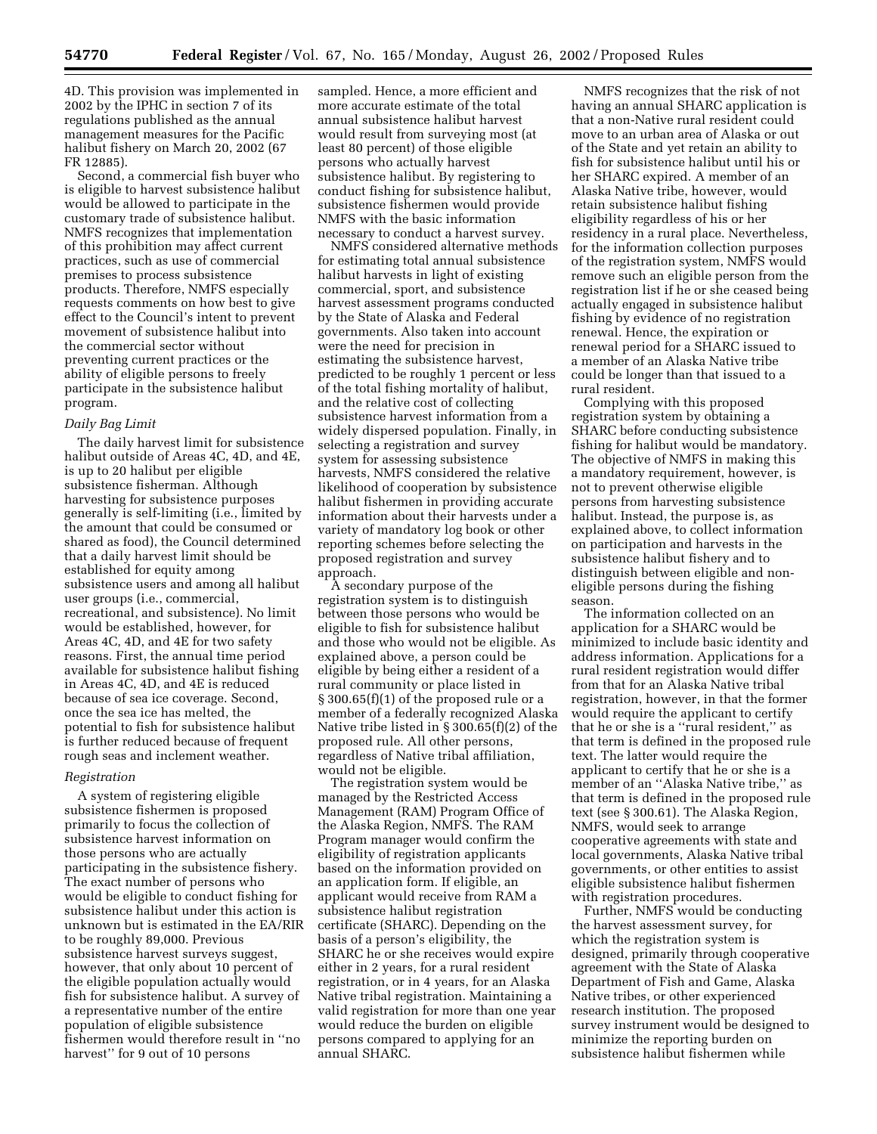4D. This provision was implemented in 2002 by the IPHC in section 7 of its regulations published as the annual management measures for the Pacific halibut fishery on March 20, 2002 (67 FR 12885).

Second, a commercial fish buyer who is eligible to harvest subsistence halibut would be allowed to participate in the customary trade of subsistence halibut. NMFS recognizes that implementation of this prohibition may affect current practices, such as use of commercial premises to process subsistence products. Therefore, NMFS especially requests comments on how best to give effect to the Council's intent to prevent movement of subsistence halibut into the commercial sector without preventing current practices or the ability of eligible persons to freely participate in the subsistence halibut program.

#### *Daily Bag Limit*

The daily harvest limit for subsistence halibut outside of Areas 4C, 4D, and 4E, is up to 20 halibut per eligible subsistence fisherman. Although harvesting for subsistence purposes generally is self-limiting (i.e., limited by the amount that could be consumed or shared as food), the Council determined that a daily harvest limit should be established for equity among subsistence users and among all halibut user groups (i.e., commercial, recreational, and subsistence). No limit would be established, however, for Areas 4C, 4D, and 4E for two safety reasons. First, the annual time period available for subsistence halibut fishing in Areas 4C, 4D, and 4E is reduced because of sea ice coverage. Second, once the sea ice has melted, the potential to fish for subsistence halibut is further reduced because of frequent rough seas and inclement weather.

#### *Registration*

A system of registering eligible subsistence fishermen is proposed primarily to focus the collection of subsistence harvest information on those persons who are actually participating in the subsistence fishery. The exact number of persons who would be eligible to conduct fishing for subsistence halibut under this action is unknown but is estimated in the EA/RIR to be roughly 89,000. Previous subsistence harvest surveys suggest, however, that only about 10 percent of the eligible population actually would fish for subsistence halibut. A survey of a representative number of the entire population of eligible subsistence fishermen would therefore result in ''no harvest'' for 9 out of 10 persons

sampled. Hence, a more efficient and more accurate estimate of the total annual subsistence halibut harvest would result from surveying most (at least 80 percent) of those eligible persons who actually harvest subsistence halibut. By registering to conduct fishing for subsistence halibut, subsistence fishermen would provide NMFS with the basic information necessary to conduct a harvest survey.

NMFS considered alternative methods for estimating total annual subsistence halibut harvests in light of existing commercial, sport, and subsistence harvest assessment programs conducted by the State of Alaska and Federal governments. Also taken into account were the need for precision in estimating the subsistence harvest, predicted to be roughly 1 percent or less of the total fishing mortality of halibut, and the relative cost of collecting subsistence harvest information from a widely dispersed population. Finally, in selecting a registration and survey system for assessing subsistence harvests, NMFS considered the relative likelihood of cooperation by subsistence halibut fishermen in providing accurate information about their harvests under a variety of mandatory log book or other reporting schemes before selecting the proposed registration and survey approach.

A secondary purpose of the registration system is to distinguish between those persons who would be eligible to fish for subsistence halibut and those who would not be eligible. As explained above, a person could be eligible by being either a resident of a rural community or place listed in § 300.65(f)(1) of the proposed rule or a member of a federally recognized Alaska Native tribe listed in § 300.65(f)(2) of the proposed rule. All other persons, regardless of Native tribal affiliation, would not be eligible.

The registration system would be managed by the Restricted Access Management (RAM) Program Office of the Alaska Region, NMFS. The RAM Program manager would confirm the eligibility of registration applicants based on the information provided on an application form. If eligible, an applicant would receive from RAM a subsistence halibut registration certificate (SHARC). Depending on the basis of a person's eligibility, the SHARC he or she receives would expire either in 2 years, for a rural resident registration, or in 4 years, for an Alaska Native tribal registration. Maintaining a valid registration for more than one year would reduce the burden on eligible persons compared to applying for an annual SHARC.

NMFS recognizes that the risk of not having an annual SHARC application is that a non-Native rural resident could move to an urban area of Alaska or out of the State and yet retain an ability to fish for subsistence halibut until his or her SHARC expired. A member of an Alaska Native tribe, however, would retain subsistence halibut fishing eligibility regardless of his or her residency in a rural place. Nevertheless, for the information collection purposes of the registration system, NMFS would remove such an eligible person from the registration list if he or she ceased being actually engaged in subsistence halibut fishing by evidence of no registration renewal. Hence, the expiration or renewal period for a SHARC issued to a member of an Alaska Native tribe could be longer than that issued to a rural resident.

Complying with this proposed registration system by obtaining a SHARC before conducting subsistence fishing for halibut would be mandatory. The objective of NMFS in making this a mandatory requirement, however, is not to prevent otherwise eligible persons from harvesting subsistence halibut. Instead, the purpose is, as explained above, to collect information on participation and harvests in the subsistence halibut fishery and to distinguish between eligible and noneligible persons during the fishing season.

The information collected on an application for a SHARC would be minimized to include basic identity and address information. Applications for a rural resident registration would differ from that for an Alaska Native tribal registration, however, in that the former would require the applicant to certify that he or she is a ''rural resident,'' as that term is defined in the proposed rule text. The latter would require the applicant to certify that he or she is a member of an ''Alaska Native tribe,'' as that term is defined in the proposed rule text (see § 300.61). The Alaska Region, NMFS, would seek to arrange cooperative agreements with state and local governments, Alaska Native tribal governments, or other entities to assist eligible subsistence halibut fishermen with registration procedures.

Further, NMFS would be conducting the harvest assessment survey, for which the registration system is designed, primarily through cooperative agreement with the State of Alaska Department of Fish and Game, Alaska Native tribes, or other experienced research institution. The proposed survey instrument would be designed to minimize the reporting burden on subsistence halibut fishermen while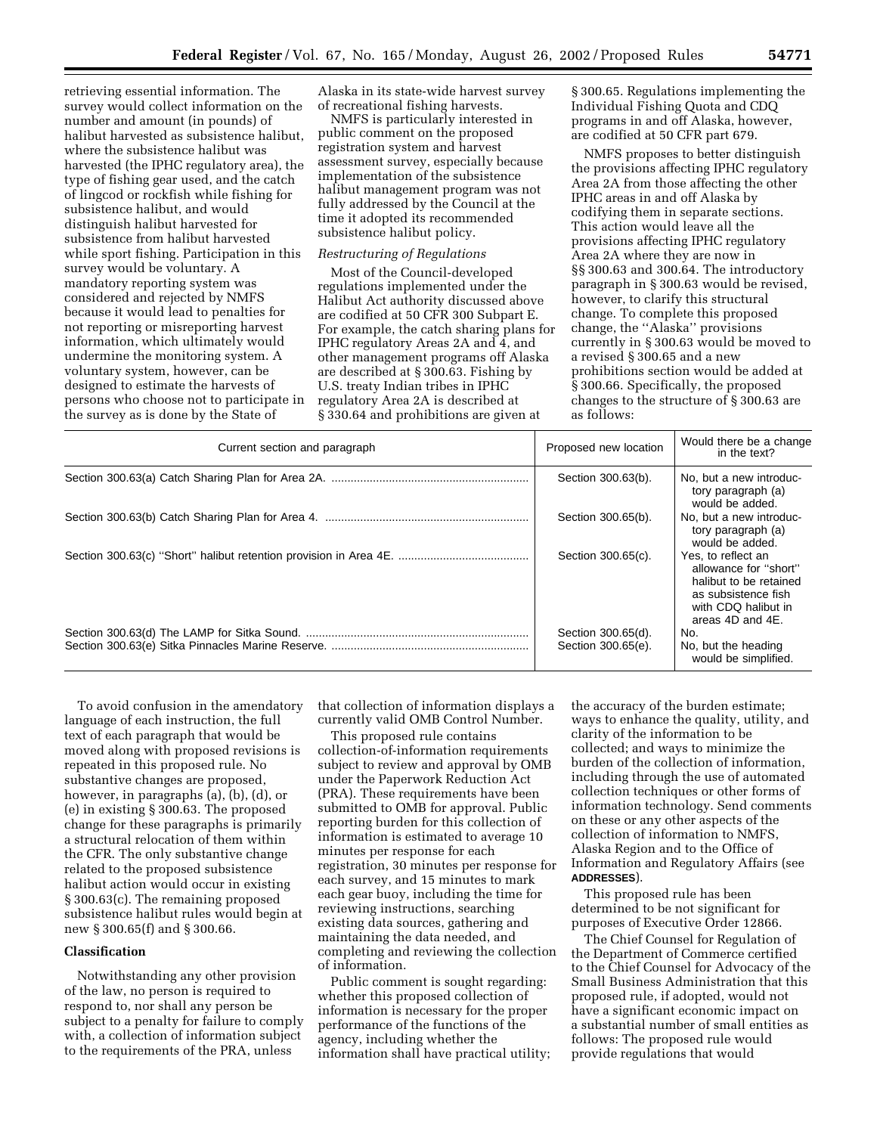retrieving essential information. The survey would collect information on the number and amount (in pounds) of halibut harvested as subsistence halibut, where the subsistence halibut was harvested (the IPHC regulatory area), the type of fishing gear used, and the catch of lingcod or rockfish while fishing for subsistence halibut, and would distinguish halibut harvested for subsistence from halibut harvested while sport fishing. Participation in this survey would be voluntary. A mandatory reporting system was considered and rejected by NMFS because it would lead to penalties for not reporting or misreporting harvest information, which ultimately would undermine the monitoring system. A voluntary system, however, can be designed to estimate the harvests of persons who choose not to participate in the survey as is done by the State of

Alaska in its state-wide harvest survey of recreational fishing harvests.

NMFS is particularly interested in public comment on the proposed registration system and harvest assessment survey, especially because implementation of the subsistence halibut management program was not fully addressed by the Council at the time it adopted its recommended subsistence halibut policy.

### *Restructuring of Regulations*

Most of the Council-developed regulations implemented under the Halibut Act authority discussed above are codified at 50 CFR 300 Subpart E. For example, the catch sharing plans for IPHC regulatory Areas 2A and 4, and other management programs off Alaska are described at § 300.63. Fishing by U.S. treaty Indian tribes in IPHC regulatory Area 2A is described at § 330.64 and prohibitions are given at

§ 300.65. Regulations implementing the Individual Fishing Quota and CDQ programs in and off Alaska, however, are codified at 50 CFR part 679.

NMFS proposes to better distinguish the provisions affecting IPHC regulatory Area 2A from those affecting the other IPHC areas in and off Alaska by codifying them in separate sections. This action would leave all the provisions affecting IPHC regulatory Area 2A where they are now in §§ 300.63 and 300.64. The introductory paragraph in § 300.63 would be revised, however, to clarify this structural change. To complete this proposed change, the ''Alaska'' provisions currently in § 300.63 would be moved to a revised § 300.65 and a new prohibitions section would be added at § 300.66. Specifically, the proposed changes to the structure of § 300.63 are as follows:

| Current section and paragraph | Proposed new location                    | Would there be a change<br>in the text?                                                                                                 |
|-------------------------------|------------------------------------------|-----------------------------------------------------------------------------------------------------------------------------------------|
|                               | Section 300.63(b).                       | No, but a new introduc-<br>tory paragraph (a)<br>would be added.                                                                        |
|                               | Section 300.65(b).                       | No, but a new introduc-<br>tory paragraph (a)<br>would be added.                                                                        |
|                               | Section 300.65(c).                       | Yes, to reflect an<br>allowance for "short"<br>halibut to be retained<br>as subsistence fish<br>with CDQ halibut in<br>areas 4D and 4E. |
|                               | Section 300.65(d).<br>Section 300.65(e). | No.<br>No, but the heading<br>would be simplified.                                                                                      |

To avoid confusion in the amendatory language of each instruction, the full text of each paragraph that would be moved along with proposed revisions is repeated in this proposed rule. No substantive changes are proposed, however, in paragraphs (a), (b), (d), or (e) in existing § 300.63. The proposed change for these paragraphs is primarily a structural relocation of them within the CFR. The only substantive change related to the proposed subsistence halibut action would occur in existing § 300.63(c). The remaining proposed subsistence halibut rules would begin at new § 300.65(f) and § 300.66.

### **Classification**

Notwithstanding any other provision of the law, no person is required to respond to, nor shall any person be subject to a penalty for failure to comply with, a collection of information subject to the requirements of the PRA, unless

that collection of information displays a currently valid OMB Control Number.

This proposed rule contains collection-of-information requirements subject to review and approval by OMB under the Paperwork Reduction Act (PRA). These requirements have been submitted to OMB for approval. Public reporting burden for this collection of information is estimated to average 10 minutes per response for each registration, 30 minutes per response for each survey, and 15 minutes to mark each gear buoy, including the time for reviewing instructions, searching existing data sources, gathering and maintaining the data needed, and completing and reviewing the collection of information.

Public comment is sought regarding: whether this proposed collection of information is necessary for the proper performance of the functions of the agency, including whether the information shall have practical utility;

the accuracy of the burden estimate; ways to enhance the quality, utility, and clarity of the information to be collected; and ways to minimize the burden of the collection of information, including through the use of automated collection techniques or other forms of information technology. Send comments on these or any other aspects of the collection of information to NMFS, Alaska Region and to the Office of Information and Regulatory Affairs (see **ADDRESSES**).

This proposed rule has been determined to be not significant for purposes of Executive Order 12866.

The Chief Counsel for Regulation of the Department of Commerce certified to the Chief Counsel for Advocacy of the Small Business Administration that this proposed rule, if adopted, would not have a significant economic impact on a substantial number of small entities as follows: The proposed rule would provide regulations that would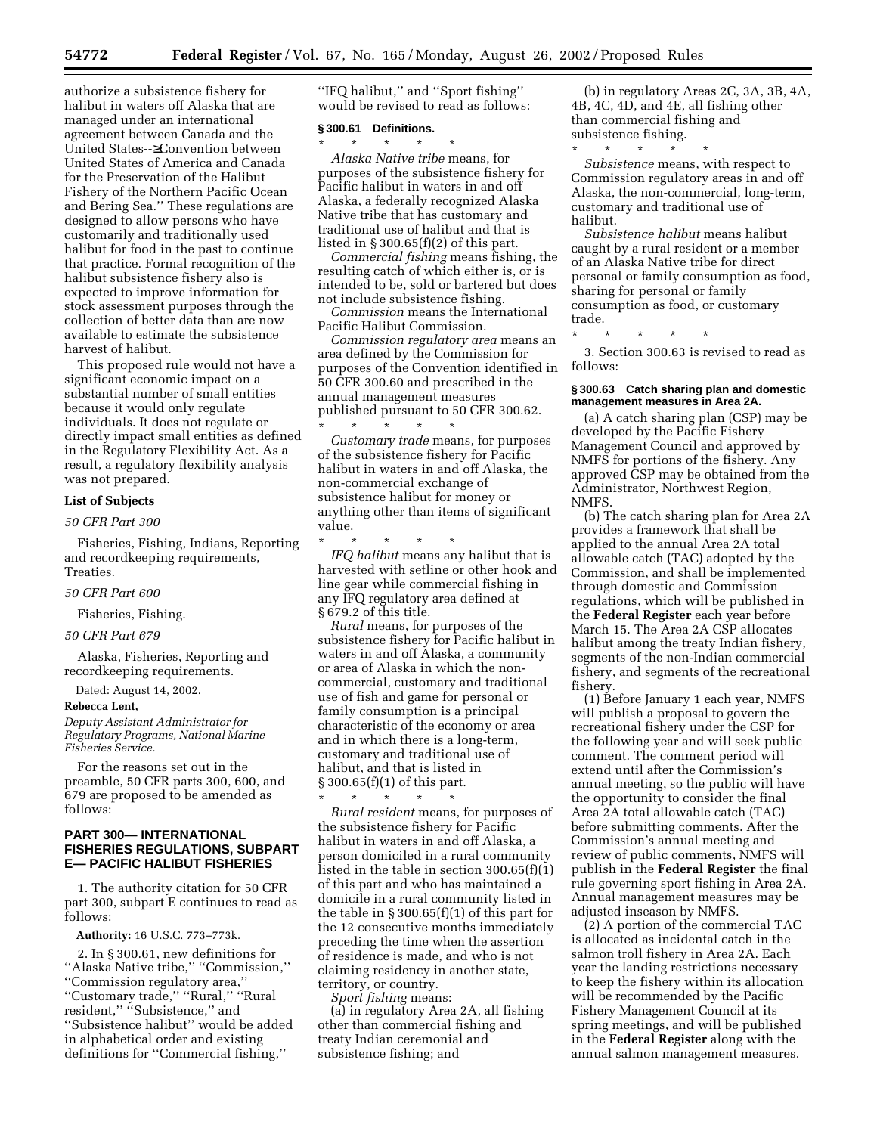authorize a subsistence fishery for halibut in waters off Alaska that are managed under an international agreement between Canada and the United States--≥Convention between United States of America and Canada for the Preservation of the Halibut Fishery of the Northern Pacific Ocean and Bering Sea.'' These regulations are designed to allow persons who have customarily and traditionally used halibut for food in the past to continue that practice. Formal recognition of the halibut subsistence fishery also is expected to improve information for stock assessment purposes through the collection of better data than are now available to estimate the subsistence harvest of halibut.

This proposed rule would not have a significant economic impact on a substantial number of small entities because it would only regulate individuals. It does not regulate or directly impact small entities as defined in the Regulatory Flexibility Act. As a result, a regulatory flexibility analysis was not prepared.

#### **List of Subjects**

#### *50 CFR Part 300*

Fisheries, Fishing, Indians, Reporting and recordkeeping requirements, Treaties.

#### *50 CFR Part 600*

Fisheries, Fishing.

### *50 CFR Part 679*

Alaska, Fisheries, Reporting and recordkeeping requirements.

Dated: August 14, 2002.

### **Rebecca Lent,**

*Deputy Assistant Administrator for Regulatory Programs, National Marine Fisheries Service.*

For the reasons set out in the preamble, 50 CFR parts 300, 600, and 679 are proposed to be amended as follows:

### **PART 300— INTERNATIONAL FISHERIES REGULATIONS, SUBPART E— PACIFIC HALIBUT FISHERIES**

1. The authority citation for 50 CFR part 300, subpart E continues to read as follows:

### **Authority:** 16 U.S.C. 773–773k.

2. In § 300.61, new definitions for ''Alaska Native tribe,'' ''Commission,'' ''Commission regulatory area,'' ''Customary trade,'' ''Rural,'' ''Rural resident," "Subsistence," and ''Subsistence halibut'' would be added in alphabetical order and existing definitions for ''Commercial fishing,''

''IFQ halibut,'' and ''Sport fishing'' would be revised to read as follows:

### **§ 300.61 Definitions.**

\* \* \* \* \* *Alaska Native tribe* means, for purposes of the subsistence fishery for Pacific halibut in waters in and off Alaska, a federally recognized Alaska Native tribe that has customary and traditional use of halibut and that is listed in  $\S 300.65(f)(2)$  of this part.

*Commercial fishing* means fishing, the resulting catch of which either is, or is intended to be, sold or bartered but does not include subsistence fishing.

*Commission* means the International Pacific Halibut Commission.

*Commission regulatory area* means an area defined by the Commission for purposes of the Convention identified in 50 CFR 300.60 and prescribed in the annual management measures published pursuant to 50 CFR 300.62. \* \* \* \* \*

*Customary trade* means, for purposes of the subsistence fishery for Pacific halibut in waters in and off Alaska, the non-commercial exchange of subsistence halibut for money or anything other than items of significant value.

\* \* \* \* \* *IFQ halibut* means any halibut that is harvested with setline or other hook and line gear while commercial fishing in any IFQ regulatory area defined at § 679.2 of this title.

*Rural* means, for purposes of the subsistence fishery for Pacific halibut in waters in and off Alaska, a community or area of Alaska in which the noncommercial, customary and traditional use of fish and game for personal or family consumption is a principal characteristic of the economy or area and in which there is a long-term, customary and traditional use of halibut, and that is listed in § 300.65(f)(1) of this part.

\* \* \* \* \* *Rural resident* means, for purposes of the subsistence fishery for Pacific halibut in waters in and off Alaska, a person domiciled in a rural community listed in the table in section 300.65(f)(1) of this part and who has maintained a domicile in a rural community listed in the table in § 300.65(f)(1) of this part for the 12 consecutive months immediately preceding the time when the assertion of residence is made, and who is not claiming residency in another state, territory, or country.

*Sport fishing* means:

(a) in regulatory Area 2A, all fishing other than commercial fishing and treaty Indian ceremonial and subsistence fishing; and

(b) in regulatory Areas 2C, 3A, 3B, 4A, 4B, 4C, 4D, and 4E, all fishing other than commercial fishing and subsistence fishing.

\* \* \* \* \* *Subsistence* means, with respect to Commission regulatory areas in and off Alaska, the non-commercial, long-term, customary and traditional use of halibut.

*Subsistence halibut* means halibut caught by a rural resident or a member of an Alaska Native tribe for direct personal or family consumption as food, sharing for personal or family consumption as food, or customary trade.

\* \* \* \* \*

3. Section 300.63 is revised to read as follows:

### **§ 300.63 Catch sharing plan and domestic management measures in Area 2A.**

(a) A catch sharing plan (CSP) may be developed by the Pacific Fishery Management Council and approved by NMFS for portions of the fishery. Any approved CSP may be obtained from the Administrator, Northwest Region, NMFS.

(b) The catch sharing plan for Area 2A provides a framework that shall be applied to the annual Area 2A total allowable catch (TAC) adopted by the Commission, and shall be implemented through domestic and Commission regulations, which will be published in the **Federal Register** each year before March 15. The Area 2A CSP allocates halibut among the treaty Indian fishery, segments of the non-Indian commercial fishery, and segments of the recreational fishery.

(1) Before January 1 each year, NMFS will publish a proposal to govern the recreational fishery under the CSP for the following year and will seek public comment. The comment period will extend until after the Commission's annual meeting, so the public will have the opportunity to consider the final Area 2A total allowable catch (TAC) before submitting comments. After the Commission's annual meeting and review of public comments, NMFS will publish in the **Federal Register** the final rule governing sport fishing in Area 2A. Annual management measures may be adjusted inseason by NMFS.

(2) A portion of the commercial TAC is allocated as incidental catch in the salmon troll fishery in Area 2A. Each year the landing restrictions necessary to keep the fishery within its allocation will be recommended by the Pacific Fishery Management Council at its spring meetings, and will be published in the **Federal Register** along with the annual salmon management measures.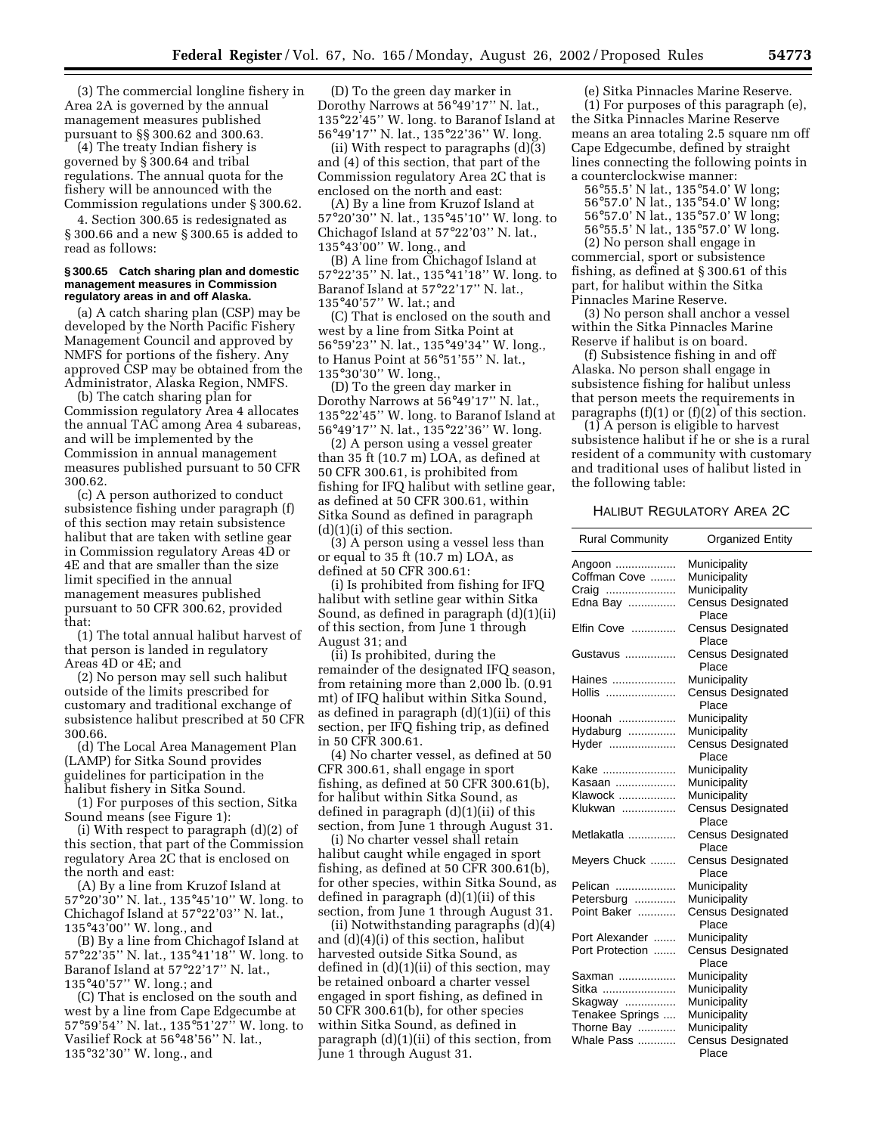(3) The commercial longline fishery in Area 2A is governed by the annual management measures published pursuant to §§ 300.62 and 300.63.

(4) The treaty Indian fishery is governed by § 300.64 and tribal regulations. The annual quota for the fishery will be announced with the Commission regulations under § 300.62.

4. Section 300.65 is redesignated as § 300.66 and a new § 300.65 is added to read as follows:

### **§ 300.65 Catch sharing plan and domestic management measures in Commission regulatory areas in and off Alaska.**

(a) A catch sharing plan (CSP) may be developed by the North Pacific Fishery Management Council and approved by NMFS for portions of the fishery. Any approved CSP may be obtained from the Administrator, Alaska Region, NMFS.

(b) The catch sharing plan for Commission regulatory Area 4 allocates the annual TAC among Area 4 subareas, and will be implemented by the Commission in annual management measures published pursuant to 50 CFR 300.62.

(c) A person authorized to conduct subsistence fishing under paragraph (f) of this section may retain subsistence halibut that are taken with setline gear in Commission regulatory Areas 4D or 4E and that are smaller than the size limit specified in the annual management measures published pursuant to 50 CFR 300.62, provided that:

(1) The total annual halibut harvest of that person is landed in regulatory Areas 4D or 4E; and

(2) No person may sell such halibut outside of the limits prescribed for customary and traditional exchange of subsistence halibut prescribed at 50 CFR 300.66.

(d) The Local Area Management Plan (LAMP) for Sitka Sound provides guidelines for participation in the halibut fishery in Sitka Sound.

(1) For purposes of this section, Sitka Sound means (see Figure 1):

(i) With respect to paragraph (d)(2) of this section, that part of the Commission regulatory Area 2C that is enclosed on the north and east:

(A) By a line from Kruzof Island at 57°20'30'' N. lat., 135°45'10'' W. long. to Chichagof Island at 57°22'03'' N. lat., 135°43'00'' W. long., and

(B) By a line from Chichagof Island at 57°22'35'' N. lat., 135°41'18'' W. long. to Baranof Island at 57°22'17'' N. lat., 135°40'57'' W. long.; and

(C) That is enclosed on the south and west by a line from Cape Edgecumbe at 57°59'54'' N. lat., 135°51'27'' W. long. to Vasilief Rock at 56°48'56'' N. lat., 135°32'30'' W. long., and

(D) To the green day marker in Dorothy Narrows at 56°49'17'' N. lat., 135°22'45'' W. long. to Baranof Island at 56°49'17'' N. lat., 135°22'36'' W. long.

(ii) With respect to paragraphs (d)(3) and (4) of this section, that part of the Commission regulatory Area 2C that is enclosed on the north and east:

(A) By a line from Kruzof Island at 57°20'30'' N. lat., 135°45'10'' W. long. to Chichagof Island at 57°22'03'' N. lat., 135°43'00'' W. long., and

(B) A line from Chichagof Island at 57°22'35'' N. lat., 135°41'18'' W. long. to Baranof Island at 57°22'17'' N. lat., 135°40'57'' W. lat.; and

(C) That is enclosed on the south and west by a line from Sitka Point at 56°59'23'' N. lat., 135°49'34'' W. long., to Hanus Point at 56°51'55'' N. lat., 135°30'30'' W. long.,

(D) To the green day marker in Dorothy Narrows at 56°49'17'' N. lat., 135°22'45'' W. long. to Baranof Island at 56°49'17'' N. lat., 135°22'36'' W. long.

(2) A person using a vessel greater than 35 ft (10.7 m) LOA, as defined at 50 CFR 300.61, is prohibited from fishing for IFQ halibut with setline gear, as defined at 50 CFR 300.61, within Sitka Sound as defined in paragraph  $(d)(1)(i)$  of this section.

(3) A person using a vessel less than or equal to 35 ft (10.7 m) LOA, as defined at 50 CFR 300.61:

(i) Is prohibited from fishing for IFQ halibut with setline gear within Sitka Sound, as defined in paragraph (d)(1)(ii) of this section, from June 1 through August 31; and

(ii) Is prohibited, during the remainder of the designated IFQ season, from retaining more than 2,000 lb. (0.91 mt) of IFQ halibut within Sitka Sound, as defined in paragraph (d)(1)(ii) of this section, per IFQ fishing trip, as defined in 50 CFR 300.61.

(4) No charter vessel, as defined at 50 CFR 300.61, shall engage in sport fishing, as defined at 50 CFR 300.61(b), for halibut within Sitka Sound, as defined in paragraph (d)(1)(ii) of this section, from June 1 through August 31.

(i) No charter vessel shall retain halibut caught while engaged in sport fishing, as defined at 50 CFR 300.61(b), for other species, within Sitka Sound, as defined in paragraph (d)(1)(ii) of this section, from June 1 through August 31.

(ii) Notwithstanding paragraphs (d)(4) and (d)(4)(i) of this section, halibut harvested outside Sitka Sound, as defined in (d)(1)(ii) of this section, may be retained onboard a charter vessel engaged in sport fishing, as defined in 50 CFR 300.61(b), for other species within Sitka Sound, as defined in paragraph (d)(1)(ii) of this section, from June 1 through August 31.

(e) Sitka Pinnacles Marine Reserve. (1) For purposes of this paragraph (e), the Sitka Pinnacles Marine Reserve means an area totaling 2.5 square nm off Cape Edgecumbe, defined by straight lines connecting the following points in a counterclockwise manner:

56°55.5' N lat., 135°54.0' W long;

56°57.0' N lat., 135°54.0' W long;

56°57.0' N lat., 135°57.0' W long;

56°55.5' N lat., 135°57.0' W long.

(2) No person shall engage in commercial, sport or subsistence fishing, as defined at § 300.61 of this part, for halibut within the Sitka Pinnacles Marine Reserve.

(3) No person shall anchor a vessel within the Sitka Pinnacles Marine Reserve if halibut is on board.

(f) Subsistence fishing in and off Alaska. No person shall engage in subsistence fishing for halibut unless that person meets the requirements in paragraphs  $(f)(1)$  or  $(f)(2)$  of this section.

(1) A person is eligible to harvest subsistence halibut if he or she is a rural resident of a community with customary and traditional uses of halibut listed in the following table:

## HALIBUT REGULATORY AREA 2C

| <b>Rural Community</b>          | <b>Organized Entity</b>                           |
|---------------------------------|---------------------------------------------------|
| Angoon<br>Coffman Cove<br>Craig | Municipality<br>Municipality<br>Municipality      |
| Edna Bay                        | <b>Census Designated</b><br>Place                 |
| Elfin Cove                      | <b>Census Designated</b><br>Place                 |
| Gustavus                        | <b>Census Designated</b><br>Place                 |
| Haines<br>Hollis                | Municipality<br><b>Census Designated</b><br>Place |
| Hoonah                          | Municipality                                      |
| Hydaburg                        | Municipality                                      |
| Hyder                           | <b>Census Designated</b><br>Place                 |
| Kake                            | Municipality                                      |
| Kasaan                          | Municipality                                      |
| Klawock                         | Municipality                                      |
| Klukwan                         | <b>Census Designated</b><br>Place                 |
| Metlakatla                      | <b>Census Designated</b><br>Place                 |
| Meyers Chuck                    | Census Designated<br>Place                        |
| Pelican                         | Municipality                                      |
| Petersburg                      | Municipality                                      |
| Point Baker                     | <b>Census Designated</b><br>Place                 |
| Port Alexander                  | Municipality                                      |
| Port Protection                 | <b>Census Designated</b><br>Place                 |
| Saxman                          | Municipality                                      |
| Sitka                           | Municipality                                      |
| Skagway                         | Municipality                                      |
| Tenakee Springs                 | Municipality                                      |
| Thorne Bay                      | Municipality                                      |
| Whale Pass                      | <b>Census Designated</b><br>Place                 |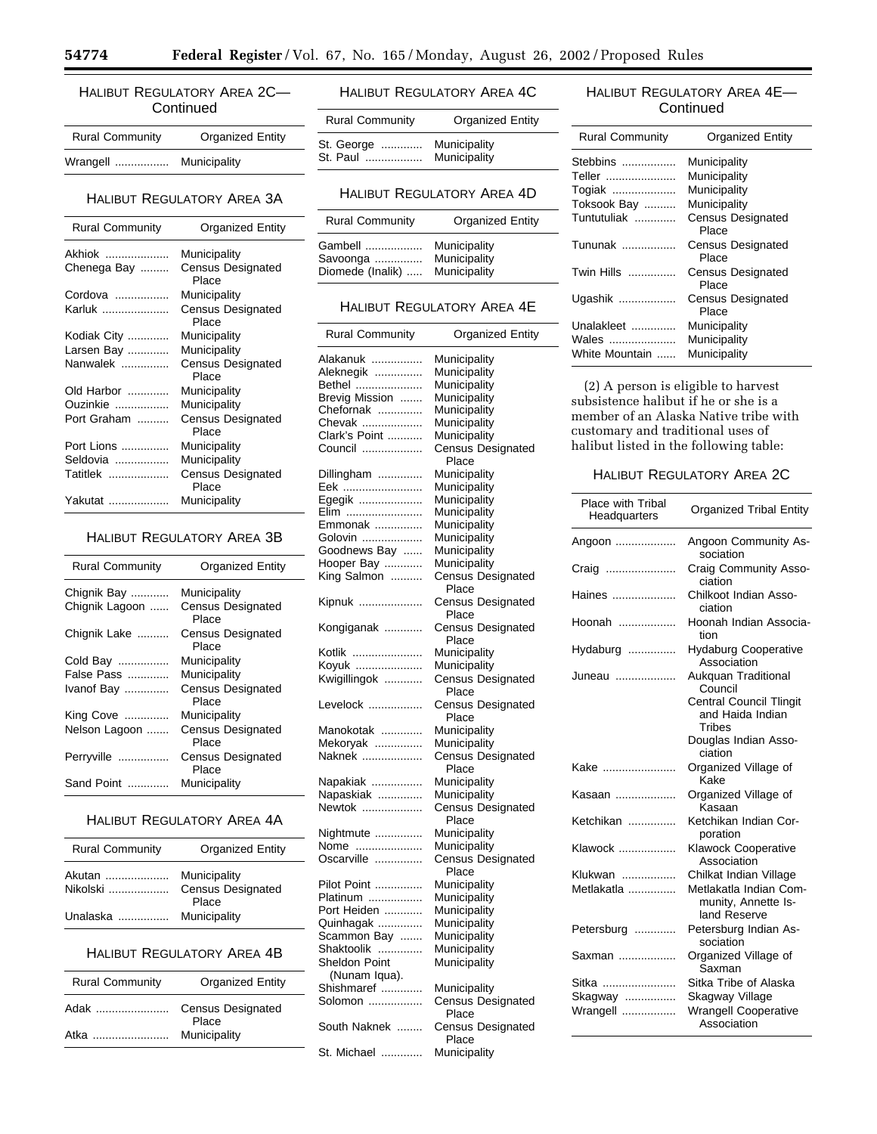### HALIBUT REGULATORY AREA 2C— **Continued**

| <b>Rural Community</b> | <b>Organized Entity</b> |
|------------------------|-------------------------|
| Wrangell               | Municipality            |

### HALIBUT REGULATORY AREA 3A

| <b>Rural Community</b> | <b>Organized Entity</b>           |
|------------------------|-----------------------------------|
| Akhiok                 | Municipality                      |
| Chenega Bay            | <b>Census Designated</b><br>Place |
| Cordova                | Municipality                      |
| Karluk                 | <b>Census Designated</b><br>Place |
| Kodiak City            | Municipality                      |
| Larsen Bay             | Municipality                      |
| Nanwalek               | <b>Census Designated</b><br>Place |
| Old Harbor             | Municipality                      |
| Ouzinkie               | Municipality                      |
| Port Graham            | <b>Census Designated</b><br>Place |
| Port Lions             | Municipality                      |
| Seldovia               | Municipality                      |
| Tatitlek               | <b>Census Designated</b><br>Place |
| Yakutat                | Municipality                      |

## HALIBUT REGULATORY AREA 3B

| <b>Rural Community</b> | Organized Entity                  |
|------------------------|-----------------------------------|
| Chignik Bay            | Municipality                      |
| Chignik Lagoon         | <b>Census Designated</b><br>Place |
| Chignik Lake           | <b>Census Designated</b><br>Place |
| Cold Bay               | Municipality                      |
| False Pass             | Municipality                      |
| Ivanof Bay             | <b>Census Designated</b><br>Place |
| King Cove              | Municipality                      |
| Nelson Lagoon          | <b>Census Designated</b><br>Place |
| Perryville             | <b>Census Designated</b><br>Place |
| Sand Point             | Municipality                      |

# HALIBUT REGULATORY AREA 4A

| <b>Rural Community</b> | <b>Organized Entity</b>           |
|------------------------|-----------------------------------|
| Akutan                 | Municipality                      |
| Nikolski               | <b>Census Designated</b><br>Place |
| Unalaska               | Municipality                      |

# HALIBUT REGULATORY AREA 4B

| <b>Rural Community</b> | <b>Organized Entity</b>           |
|------------------------|-----------------------------------|
| Adak                   | <b>Census Designated</b><br>Place |
|                        | Municipality                      |
|                        |                                   |

# HALIBUT REGULATORY AREA 4C

| <b>Rural Community</b> | <b>Organized Entity</b> |
|------------------------|-------------------------|
| St. George             | Municipality            |
| St. Paul               | Municipality            |

# HALIBUT REGULATORY AREA 4D

| <b>Rural Community</b> | <b>Organized Entity</b> |
|------------------------|-------------------------|
| Gambell                | Municipality            |
| Savoonga               | Municipality            |
| Diomede (Inalik)       | Municipality            |

# HALIBUT REGULATORY AREA 4E

| <b>Rural Community</b> | Organized Entity                  |
|------------------------|-----------------------------------|
| Alakanuk               | Municipality                      |
| Aleknegik              | Municipality                      |
| Bethel                 | Municipality                      |
| Brevig Mission         | Municipality                      |
|                        | Municipality                      |
| Chefornak              |                                   |
| Chevak                 | Municipality                      |
| Clark's Point          | Municipality                      |
| Council                | Census Designated                 |
|                        | Place                             |
| Dillingham             | Municipality                      |
| Eek                    | Municipality                      |
| Egegik                 | Municipality                      |
| Elim                   | Municipality                      |
| Emmonak                | Municipality                      |
| Golovin                | Municipality                      |
| Goodnews Bay           | Municipality                      |
| Hooper Bay             | Municipality                      |
| King Salmon            | <b>Census Designated</b>          |
|                        | Place                             |
| Kipnuk                 | Census Designated                 |
|                        | Place                             |
| Kongiganak             | Census Designated                 |
|                        | Place                             |
|                        |                                   |
| Kotlik                 | Municipality                      |
| Koyuk                  | Municipality                      |
| Kwigillingok           | Census Designated                 |
|                        | Place                             |
| Levelock               | <b>Census Designated</b><br>Place |
| Manokotak              | Municipality                      |
| Mekoryak               | Municipality                      |
| Naknek                 | Census Designated                 |
|                        | Place                             |
| Napakiak               | Municipality                      |
| Napaskiak              | Municipality                      |
| Newtok                 | <b>Census Designated</b>          |
|                        | Place                             |
| Nightmute              | Municipality                      |
| Nome                   | Municipality                      |
| Oscarville             | Census Designated                 |
|                        | Place                             |
| Pilot Point            | Municipality                      |
| Platinum               | Municipality                      |
| Port Heiden            | Municipality                      |
| Quinhagak              | Municipality                      |
| Scammon Bay            | Municipality                      |
| Shaktoolik             | Municipality                      |
| Sheldon Point          | Municipality                      |
| (Nunam Iqua).          |                                   |
| Shishmaref             | Municipality                      |
| Solomon                | Census Designated                 |
|                        | Place                             |
| South Naknek           | Census Designated                 |
|                        | Place                             |
| St. Michael            | Municipality                      |

## HALIBUT REGULATORY AREA 4E— **Continued**

| <b>Rural Community</b> | Organized Entity                  |
|------------------------|-----------------------------------|
| Stebbins               | Municipality                      |
| Teller                 | Municipality                      |
| Toqiak                 | Municipality                      |
| Toksook Bay            | Municipality                      |
| Tuntutuliak            | <b>Census Designated</b><br>Place |
| Tununak                | <b>Census Designated</b><br>Place |
| <b>Twin Hills</b>      | <b>Census Designated</b><br>Place |
| Ugashik                | <b>Census Designated</b><br>Place |
| Unalakleet<br>Wales    | Municipality<br>Municipality      |
| White Mountain         | Municipality                      |

(2) A person is eligible to harvest subsistence halibut if he or she is a member of an Alaska Native tribe with customary and traditional uses of halibut listed in the following table:

# HALIBUT REGULATORY AREA 2C

| Place with Tribal<br>Headquarters | <b>Organized Tribal Entity</b>                                      |
|-----------------------------------|---------------------------------------------------------------------|
| Angoon                            | Angoon Community As-<br>sociation                                   |
| Craig                             | Craig Community Asso-<br>ciation                                    |
| Haines …………………                    | Chilkoot Indian Asso-<br>ciation                                    |
| Hoonah                            | Hoonah Indian Associa-<br>tion                                      |
| Hydaburg                          | <b>Hydaburg Cooperative</b><br>Association                          |
| Juneau                            | Aukquan Traditional<br>Council                                      |
|                                   | <b>Central Council Tlingit</b><br>and Haida Indian<br><b>Tribes</b> |
|                                   | Douglas Indian Asso-<br>ciation                                     |
| Kake                              | Organized Village of<br>Kake                                        |
| Kasaan                            | Organized Village of<br>Kasaan                                      |
| Ketchikan                         | Ketchikan Indian Cor-<br>poration                                   |
| Klawock                           | <b>Klawock Cooperative</b><br>Association                           |
| Klukwan                           | Chilkat Indian Village                                              |
| Metlakatla                        | Metlakatla Indian Com-<br>munity, Annette Is-<br>land Reserve       |
| Petersburg                        | Petersburg Indian As-<br>sociation                                  |
| Saxman                            | Organized Village of<br>Saxman                                      |
| Sitka                             | Sitka Tribe of Alaska                                               |
| Skagway                           | Skagway Village                                                     |
| Wrangell                          | <b>Wrangell Cooperative</b><br>Association                          |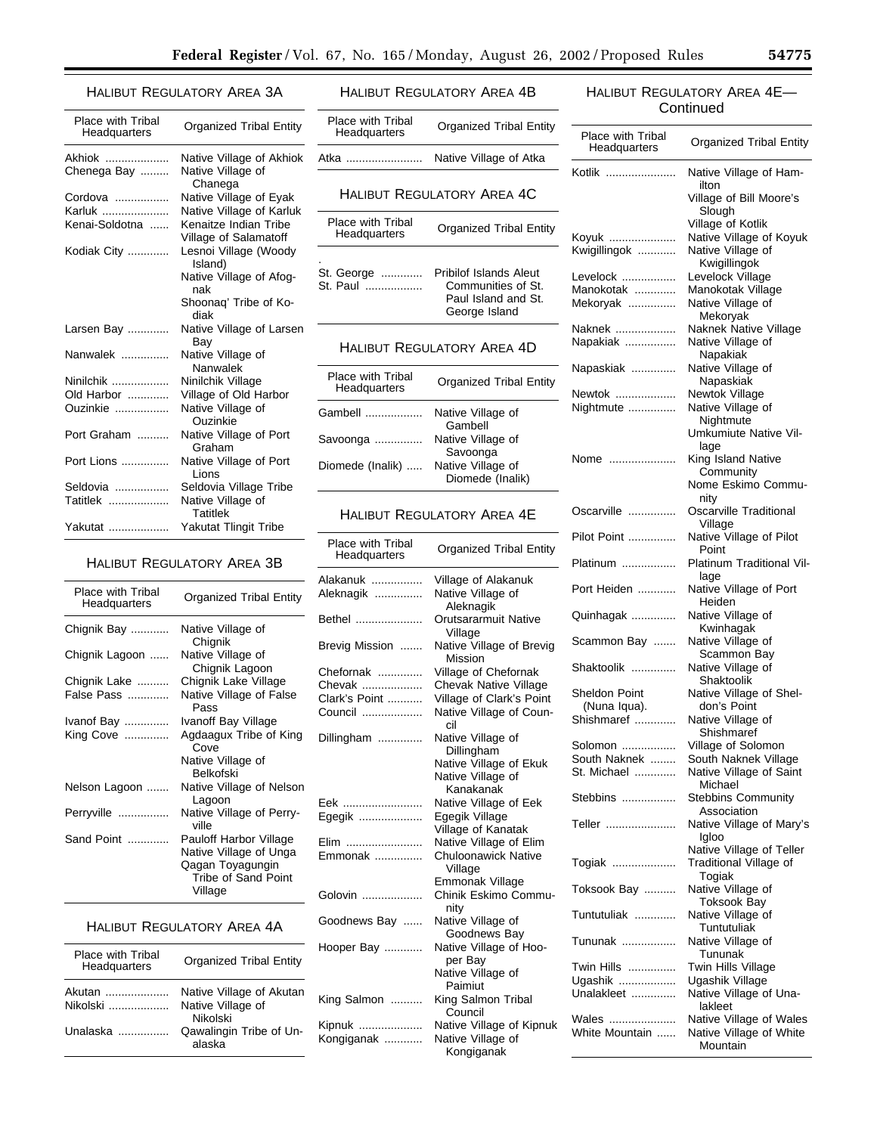## HALIBUT REGULATORY AREA 3A

| <b>Place with Tribal</b><br>Headquarters | <b>Organized Tribal Entity</b> |
|------------------------------------------|--------------------------------|
| Akhiok                                   | Native Village of Akhiok       |
| Chenega Bay                              | Native Village of<br>Chanega   |
| Cordova                                  | Native Village of Eyak         |
| Karluk                                   | Native Village of Karluk       |
| Kenai-Soldotna                           | Kenaitze Indian Tribe          |
|                                          | Village of Salamatoff          |
| Kodiak City                              | Lesnoi Village (Woody          |
|                                          | Island)                        |
|                                          | Native Village of Afog-        |
|                                          | nak                            |
|                                          | Shoonaq' Tribe of Ko-          |
|                                          | diak                           |
| Larsen Bay                               | Native Village of Larsen       |
|                                          | Bay                            |
| Nanwalek                                 | Native Village of              |
|                                          | Nanwalek                       |
| Ninilchik                                | Ninilchik Village              |
| Old Harbor                               | Village of Old Harbor          |
| <b>Ouzinkie</b>                          | Native Village of              |
|                                          | Ouzinkie                       |
| Port Graham                              | Native Village of Port         |
|                                          | Graham                         |
| Port Lions                               | Native Village of Port         |
|                                          | Lions                          |
| Seldovia                                 | Seldovia Village Tribe         |
| Tatitlek                                 | Native Village of              |
|                                          | <b>Tatitlek</b>                |
| Yakutat                                  | Yakutat Tlingit Tribe          |

HALIBUT REGULATORY AREA 3B

Chignik Bay ............ Native Village of

Chignik Lake .......... Chignik Lake Village False Pass ............. Native Village of False Pass

Ivanof Bay .............. Ivanoff Bay Village King Cove .............. Agdaagux Tribe of King Cove Native Village of Belkofski

Nelson Lagoon ....... Native Village of Nelson

Perryville ................ Native Village of Perryville Sand Point ............. Pauloff Harbor Village

HALIBUT REGULATORY AREA 4A

Akutan .................... Native Village of Akutan Nikolski ................... Native Village of

Unalaska ................ Qawalingin Tribe of Unalaska

Lagoon

Village

Nikolski

Native Village of Unga Qagan Toyagungin Tribe of Sand Point

Organized Tribal Entity

**Organized Tribal Entity** 

 $\overline{a}$ 

Chignik<br>Native Village of

Chignik Lagoon

Place with Tribal<br>Headquarters

Chignik Lagoon ......

Place with Tribal<br>Headquarters

# HALIBUT REGULATORY AREA 4B

| <b>Place with Tribal</b><br>Headquarters | Organized Tribal Entity                                                              |
|------------------------------------------|--------------------------------------------------------------------------------------|
| Atka                                     | Native Village of Atka                                                               |
|                                          | HALIBUT REGULATORY AREA 4C                                                           |
| <b>Place with Tribal</b><br>Headquarters | Organized Tribal Entity                                                              |
| St. George<br>St. Paul                   | Pribilof Islands Aleut<br>Communities of St.<br>Paul Island and St.<br>George Island |
|                                          | HALIBUT REGULATORY AREA 4D                                                           |
| Place with Tribal                        | Organizad Tribal Entity                                                              |

| ו ומעס שונו וועמו<br>Headquarters | <b>Organized Tribal Entity</b>        |
|-----------------------------------|---------------------------------------|
| Gambell                           | Native Village of<br>Gambell          |
| Savoonga                          | Native Village of<br>Savoonga         |
| Diomede (Inalik)                  | Native Village of<br>Diomede (Inalik) |

## HALIBUT REGULATORY AREA 4E

| Place with Tribal<br>Headquarters | <b>Organized Tribal Entity</b>      |
|-----------------------------------|-------------------------------------|
| Alakanuk                          | Village of Alakanuk                 |
| Aleknagik                         | Native Village of<br>Aleknagik      |
| Bethel                            | Orutsararmuit Native<br>Village     |
| Brevig Mission                    | Native Village of Brevig<br>Mission |
| Chefornak                         | Village of Chefornak                |
| Chevak                            | <b>Chevak Native Village</b>        |
| Clark's Point                     | Village of Clark's Point            |
| Council                           | Native Village of Coun-<br>cil      |
| Dillingham                        | Native Village of<br>Dillingham     |
|                                   | Native Village of Ekuk              |
|                                   | Native Village of<br>Kanakanak      |
| Eek                               | Native Village of Eek               |
| Egegik                            | Egegik Village                      |
|                                   | Village of Kanatak                  |
| Elim                              | Native Village of Elim              |
| Emmonak                           | Chuloonawick Native<br>Village      |
|                                   | Emmonak Village                     |
| Golovin                           | Chinik Eskimo Commu-<br>nity        |
| Goodnews Bay                      | Native Village of<br>Goodnews Bay   |
| Hooper Bay                        | Native Village of Hoo-<br>per Bay   |
|                                   | Native Village of<br>Paimiut        |
| King Salmon                       | King Salmon Tribal<br>Council       |
| Kipnuk                            | Native Village of Kipnuk            |
| Kongiganak                        | Native Village of                   |
|                                   | Kongiganak                          |

## HALIBUT REGULATORY AREA 4E— **Continued**

| Place with Tribal<br>Headquarters    | <b>Organized Tribal Entity</b>         |
|--------------------------------------|----------------------------------------|
| Kotlik                               | Native Village of Ham-<br>ilton        |
|                                      | Village of Bill Moore's<br>Slough      |
|                                      | Village of Kotlik                      |
| Koyuk                                | Native Village of Koyuk                |
| Kwigillingok                         | Native Village of                      |
|                                      | Kwigillingok                           |
| Levelock                             | Levelock Village                       |
| Manokotak                            | Manokotak Village                      |
| Mekoryak                             | Native Village of                      |
|                                      | Mekoryak                               |
| Naknek                               | Naknek Native Village                  |
| Napakiak                             | Native Village of                      |
|                                      | Napakiak                               |
| Napaskiak                            | Native Village of                      |
|                                      | Napaskiak                              |
| Newtok                               | Newtok Village                         |
| Nightmute                            | Native Village of                      |
|                                      | Nightmute                              |
|                                      | Umkumiute Native Vil-                  |
|                                      | lage                                   |
| Nome                                 | King Island Native<br>Community        |
|                                      | Nome Eskimo Commu-                     |
|                                      | nity                                   |
| Oscarville                           | Oscarville Traditional                 |
|                                      | Village                                |
| Pilot Point                          | Native Village of Pilot                |
|                                      | Point                                  |
| Platinum                             | Platinum Traditional Vil-              |
|                                      | lage                                   |
| Port Heiden                          | Native Village of Port                 |
|                                      | Heiden                                 |
| Quinhagak                            | Native Village of                      |
|                                      | Kwinhagak                              |
| Scammon Bay                          | Native Village of                      |
|                                      | Scammon Bay                            |
| Shaktoolik                           | Native Village of                      |
|                                      | Shaktoolik                             |
| <b>Sheldon Point</b><br>(Nuna Iqua). | Native Village of Shel-<br>don's Point |
| Shishmaref                           | Native Village of                      |
|                                      | Shishmaref                             |
| Solomon                              | Village of Solomon                     |
| South Naknek                         | South Naknek Village                   |
| St. Michael                          | Native Village of Saint                |
|                                      | Michael                                |
| Stebbins                             | <b>Stebbins Community</b>              |
|                                      | Association                            |
| Teller                               | Native Village of Mary's               |
|                                      | Igloo                                  |
|                                      | Native Village of Teller               |
| Togiak                               | Traditional Village of                 |
|                                      | Togiak                                 |
| Toksook Bay                          | Native Village of                      |
| Tuntutuliak                          | Toksook Bay                            |
|                                      | Native Village of                      |
| Tununak                              | Tuntutuliak                            |
|                                      | Native Village of                      |
|                                      | Tununak                                |
| Twin Hills                           | Twin Hills Village                     |
| Ugashik                              | Ugashik Village                        |
| Unalakleet                           | Native Village of Una-                 |
|                                      | lakleet                                |
| Wales                                | Native Village of Wales                |
| White Mountain                       | Native Village of White<br>Mountain    |
|                                      |                                        |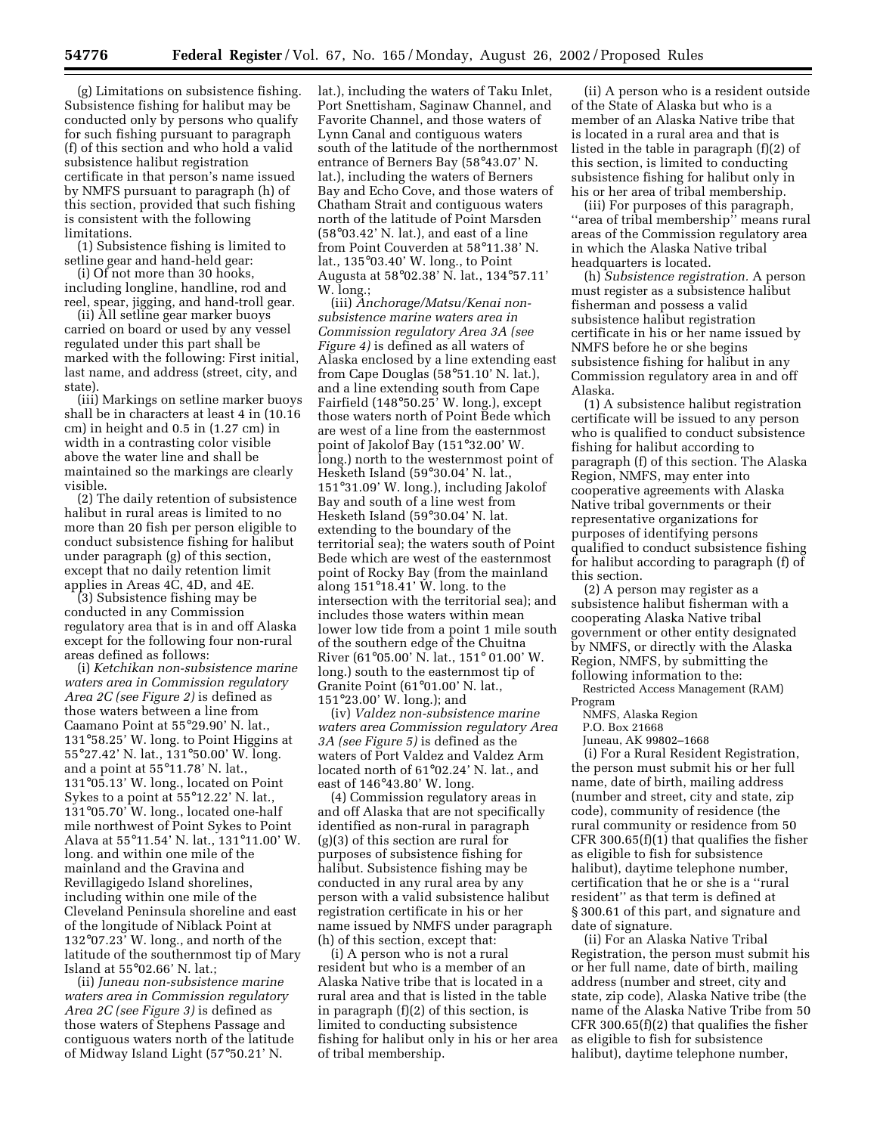(g) Limitations on subsistence fishing. Subsistence fishing for halibut may be conducted only by persons who qualify for such fishing pursuant to paragraph (f) of this section and who hold a valid subsistence halibut registration certificate in that person's name issued by NMFS pursuant to paragraph (h) of this section, provided that such fishing is consistent with the following limitations.

(1) Subsistence fishing is limited to setline gear and hand-held gear:

(i) Of not more than 30 hooks, including longline, handline, rod and reel, spear, jigging, and hand-troll gear.

(ii) All setline gear marker buoys carried on board or used by any vessel regulated under this part shall be marked with the following: First initial, last name, and address (street, city, and state).

(iii) Markings on setline marker buoys shall be in characters at least 4 in (10.16 cm) in height and 0.5 in (1.27 cm) in width in a contrasting color visible above the water line and shall be maintained so the markings are clearly visible.

(2) The daily retention of subsistence halibut in rural areas is limited to no more than 20 fish per person eligible to conduct subsistence fishing for halibut under paragraph (g) of this section, except that no daily retention limit applies in Areas 4C, 4D, and 4E.

(3) Subsistence fishing may be conducted in any Commission regulatory area that is in and off Alaska except for the following four non-rural areas defined as follows:

(i) *Ketchikan non-subsistence marine waters area in Commission regulatory Area 2C (see Figure 2)* is defined as those waters between a line from Caamano Point at 55°29.90' N. lat., 131°58.25' W. long. to Point Higgins at 55°27.42' N. lat., 131°50.00' W. long. and a point at 55°11.78' N. lat., 131°05.13' W. long., located on Point Sykes to a point at 55°12.22' N. lat., 131°05.70' W. long., located one-half mile northwest of Point Sykes to Point Alava at 55°11.54' N. lat., 131°11.00' W. long. and within one mile of the mainland and the Gravina and Revillagigedo Island shorelines, including within one mile of the Cleveland Peninsula shoreline and east of the longitude of Niblack Point at 132°07.23' W. long., and north of the latitude of the southernmost tip of Mary Island at 55°02.66' N. lat.;

(ii) *Juneau non-subsistence marine waters area in Commission regulatory Area 2C (see Figure 3)* is defined as those waters of Stephens Passage and contiguous waters north of the latitude of Midway Island Light (57°50.21' N.

lat.), including the waters of Taku Inlet, Port Snettisham, Saginaw Channel, and Favorite Channel, and those waters of Lynn Canal and contiguous waters south of the latitude of the northernmost entrance of Berners Bay (58°43.07' N. lat.), including the waters of Berners Bay and Echo Cove, and those waters of Chatham Strait and contiguous waters north of the latitude of Point Marsden (58°03.42' N. lat.), and east of a line from Point Couverden at 58°11.38' N. lat., 135°03.40' W. long., to Point Augusta at 58°02.38' N. lat., 134°57.11' W. long.;

(iii) *Anchorage/Matsu/Kenai nonsubsistence marine waters area in Commission regulatory Area 3A (see Figure 4)* is defined as all waters of Alaska enclosed by a line extending east from Cape Douglas (58°51.10' N. lat.), and a line extending south from Cape Fairfield (148°50.25' W. long.), except those waters north of Point Bede which are west of a line from the easternmost point of Jakolof Bay (151°32.00' W. long.) north to the westernmost point of Hesketh Island (59°30.04' N. lat., 151°31.09' W. long.), including Jakolof Bay and south of a line west from Hesketh Island (59°30.04' N. lat. extending to the boundary of the territorial sea); the waters south of Point Bede which are west of the easternmost point of Rocky Bay (from the mainland along 151°18.41' W. long. to the intersection with the territorial sea); and includes those waters within mean lower low tide from a point 1 mile south of the southern edge of the Chuitna River (61°05.00' N. lat., 151° 01.00' W. long.) south to the easternmost tip of Granite Point (61°01.00' N. lat., 151°23.00' W. long.); and

(iv) *Valdez non-subsistence marine waters area Commission regulatory Area 3A (see Figure 5)* is defined as the waters of Port Valdez and Valdez Arm located north of 61°02.24' N. lat., and east of 146°43.80' W. long.

(4) Commission regulatory areas in and off Alaska that are not specifically identified as non-rural in paragraph (g)(3) of this section are rural for purposes of subsistence fishing for halibut. Subsistence fishing may be conducted in any rural area by any person with a valid subsistence halibut registration certificate in his or her name issued by NMFS under paragraph (h) of this section, except that:

(i) A person who is not a rural resident but who is a member of an Alaska Native tribe that is located in a rural area and that is listed in the table in paragraph (f)(2) of this section, is limited to conducting subsistence fishing for halibut only in his or her area of tribal membership.

(ii) A person who is a resident outside of the State of Alaska but who is a member of an Alaska Native tribe that is located in a rural area and that is listed in the table in paragraph (f)(2) of this section, is limited to conducting subsistence fishing for halibut only in his or her area of tribal membership.

(iii) For purposes of this paragraph, ''area of tribal membership'' means rural areas of the Commission regulatory area in which the Alaska Native tribal headquarters is located.

(h) *Subsistence registration.* A person must register as a subsistence halibut fisherman and possess a valid subsistence halibut registration certificate in his or her name issued by NMFS before he or she begins subsistence fishing for halibut in any Commission regulatory area in and off Alaska.

(1) A subsistence halibut registration certificate will be issued to any person who is qualified to conduct subsistence fishing for halibut according to paragraph (f) of this section. The Alaska Region, NMFS, may enter into cooperative agreements with Alaska Native tribal governments or their representative organizations for purposes of identifying persons qualified to conduct subsistence fishing for halibut according to paragraph (f) of this section.

(2) A person may register as a subsistence halibut fisherman with a cooperating Alaska Native tribal government or other entity designated by NMFS, or directly with the Alaska Region, NMFS, by submitting the following information to the: Restricted Access Management (RAM)

Program

- NMFS, Alaska Region
- P.O. Box 21668

Juneau, AK 99802–1668

(i) For a Rural Resident Registration, the person must submit his or her full name, date of birth, mailing address (number and street, city and state, zip code), community of residence (the rural community or residence from 50 CFR 300.65(f)(1) that qualifies the fisher as eligible to fish for subsistence halibut), daytime telephone number, certification that he or she is a ''rural resident'' as that term is defined at § 300.61 of this part, and signature and date of signature.

(ii) For an Alaska Native Tribal Registration, the person must submit his or her full name, date of birth, mailing address (number and street, city and state, zip code), Alaska Native tribe (the name of the Alaska Native Tribe from 50 CFR 300.65(f)(2) that qualifies the fisher as eligible to fish for subsistence halibut), daytime telephone number,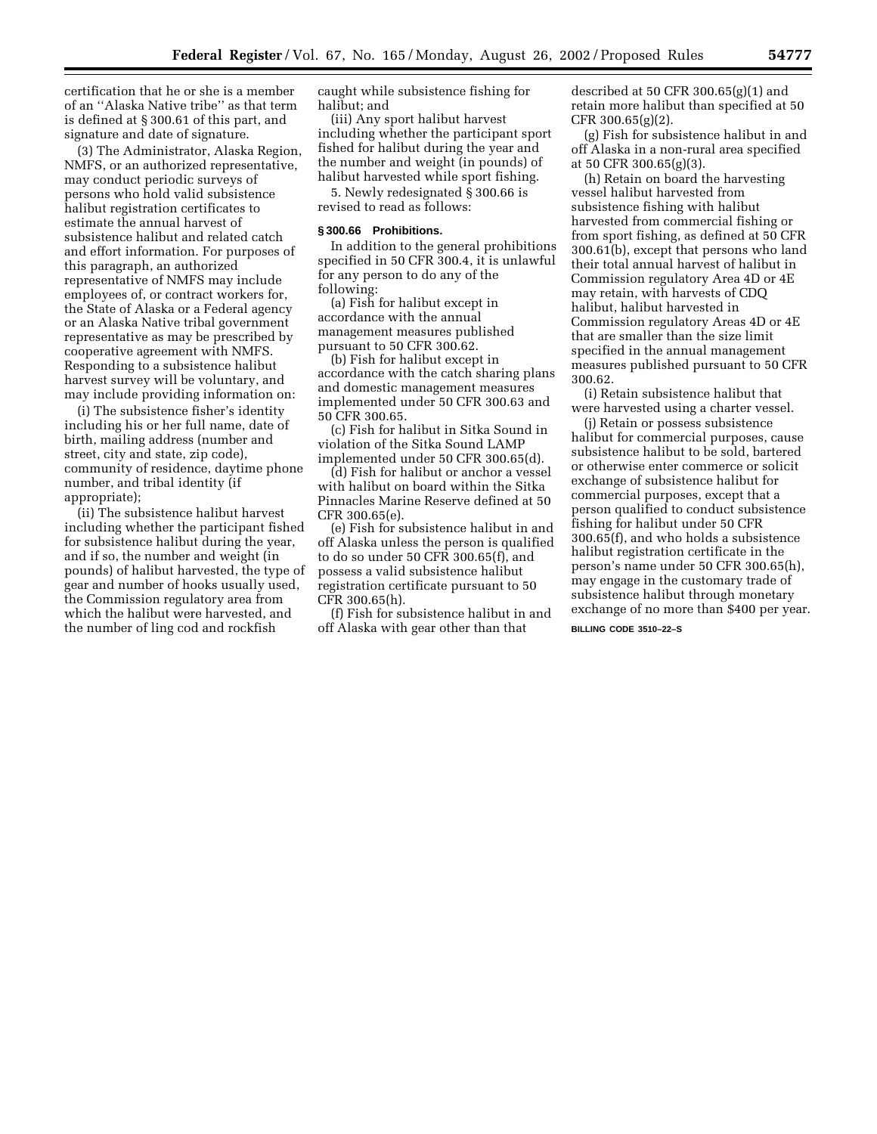certification that he or she is a member of an ''Alaska Native tribe'' as that term is defined at § 300.61 of this part, and signature and date of signature.

(3) The Administrator, Alaska Region, NMFS, or an authorized representative, may conduct periodic surveys of persons who hold valid subsistence halibut registration certificates to estimate the annual harvest of subsistence halibut and related catch and effort information. For purposes of this paragraph, an authorized representative of NMFS may include employees of, or contract workers for, the State of Alaska or a Federal agency or an Alaska Native tribal government representative as may be prescribed by cooperative agreement with NMFS. Responding to a subsistence halibut harvest survey will be voluntary, and may include providing information on:

(i) The subsistence fisher's identity including his or her full name, date of birth, mailing address (number and street, city and state, zip code), community of residence, daytime phone number, and tribal identity (if appropriate);

(ii) The subsistence halibut harvest including whether the participant fished for subsistence halibut during the year, and if so, the number and weight (in pounds) of halibut harvested, the type of gear and number of hooks usually used, the Commission regulatory area from which the halibut were harvested, and the number of ling cod and rockfish

caught while subsistence fishing for halibut; and

(iii) Any sport halibut harvest including whether the participant sport fished for halibut during the year and the number and weight (in pounds) of halibut harvested while sport fishing.

5. Newly redesignated § 300.66 is revised to read as follows:

#### **§ 300.66 Prohibitions.**

In addition to the general prohibitions specified in 50 CFR 300.4, it is unlawful for any person to do any of the following:

(a) Fish for halibut except in accordance with the annual management measures published pursuant to 50 CFR 300.62.

(b) Fish for halibut except in accordance with the catch sharing plans and domestic management measures implemented under 50 CFR 300.63 and 50 CFR 300.65.

(c) Fish for halibut in Sitka Sound in violation of the Sitka Sound LAMP implemented under 50 CFR 300.65(d).

(d) Fish for halibut or anchor a vessel with halibut on board within the Sitka Pinnacles Marine Reserve defined at 50 CFR 300.65(e).

(e) Fish for subsistence halibut in and off Alaska unless the person is qualified to do so under 50 CFR 300.65(f), and possess a valid subsistence halibut registration certificate pursuant to 50 CFR 300.65(h).

(f) Fish for subsistence halibut in and off Alaska with gear other than that

described at 50 CFR  $300.65(g)(1)$  and retain more halibut than specified at 50 CFR 300.65(g)(2).

(g) Fish for subsistence halibut in and off Alaska in a non-rural area specified at 50 CFR 300.65(g)(3).

(h) Retain on board the harvesting vessel halibut harvested from subsistence fishing with halibut harvested from commercial fishing or from sport fishing, as defined at 50 CFR 300.61(b), except that persons who land their total annual harvest of halibut in Commission regulatory Area 4D or 4E may retain, with harvests of CDQ halibut, halibut harvested in Commission regulatory Areas 4D or 4E that are smaller than the size limit specified in the annual management measures published pursuant to 50 CFR 300.62.

(i) Retain subsistence halibut that were harvested using a charter vessel.

(j) Retain or possess subsistence halibut for commercial purposes, cause subsistence halibut to be sold, bartered or otherwise enter commerce or solicit exchange of subsistence halibut for commercial purposes, except that a person qualified to conduct subsistence fishing for halibut under 50 CFR 300.65(f), and who holds a subsistence halibut registration certificate in the person's name under 50 CFR 300.65(h), may engage in the customary trade of subsistence halibut through monetary exchange of no more than \$400 per year.

**BILLING CODE 3510–22–S**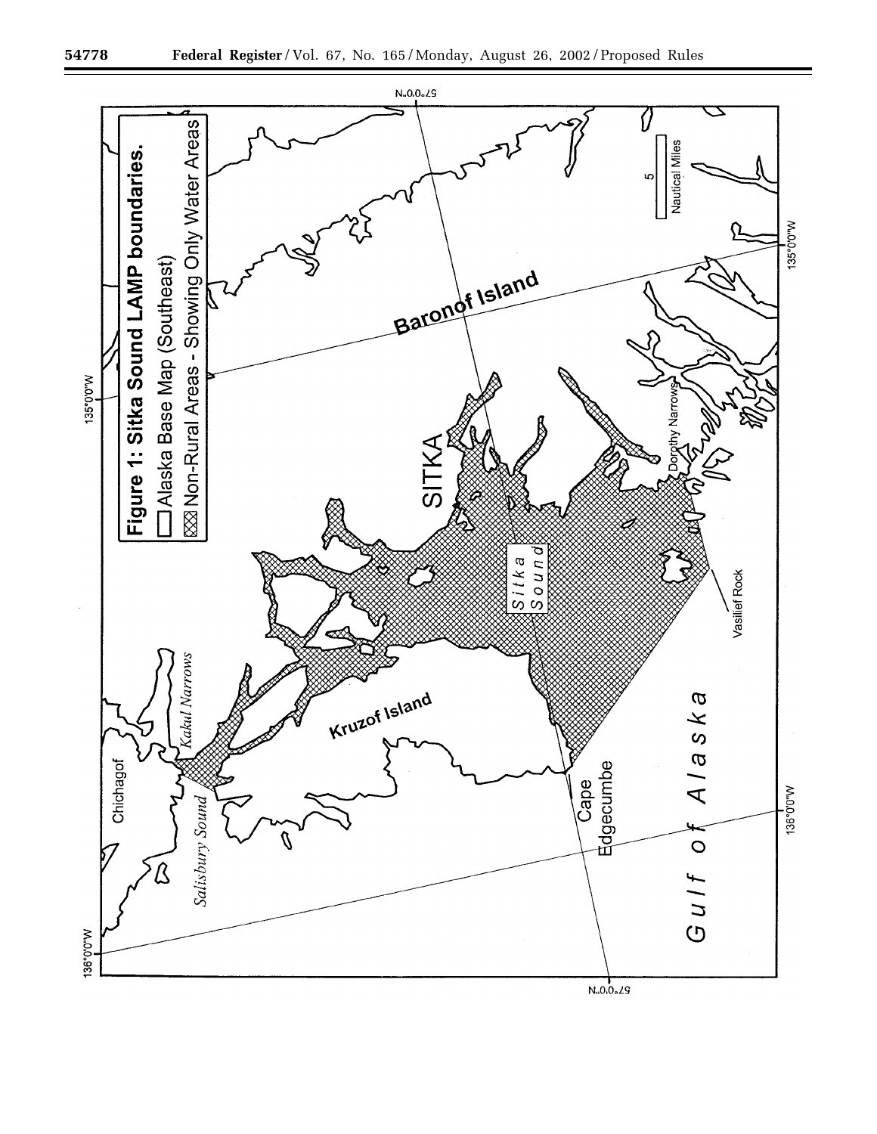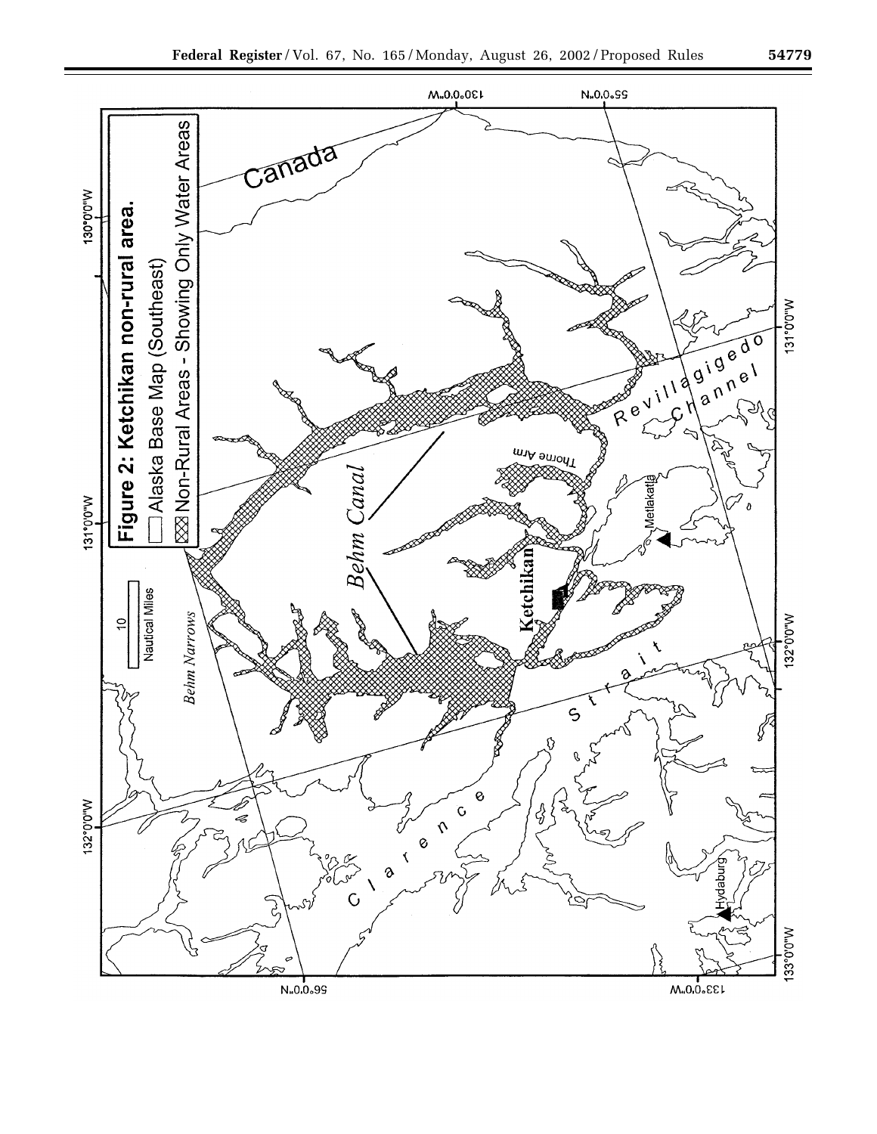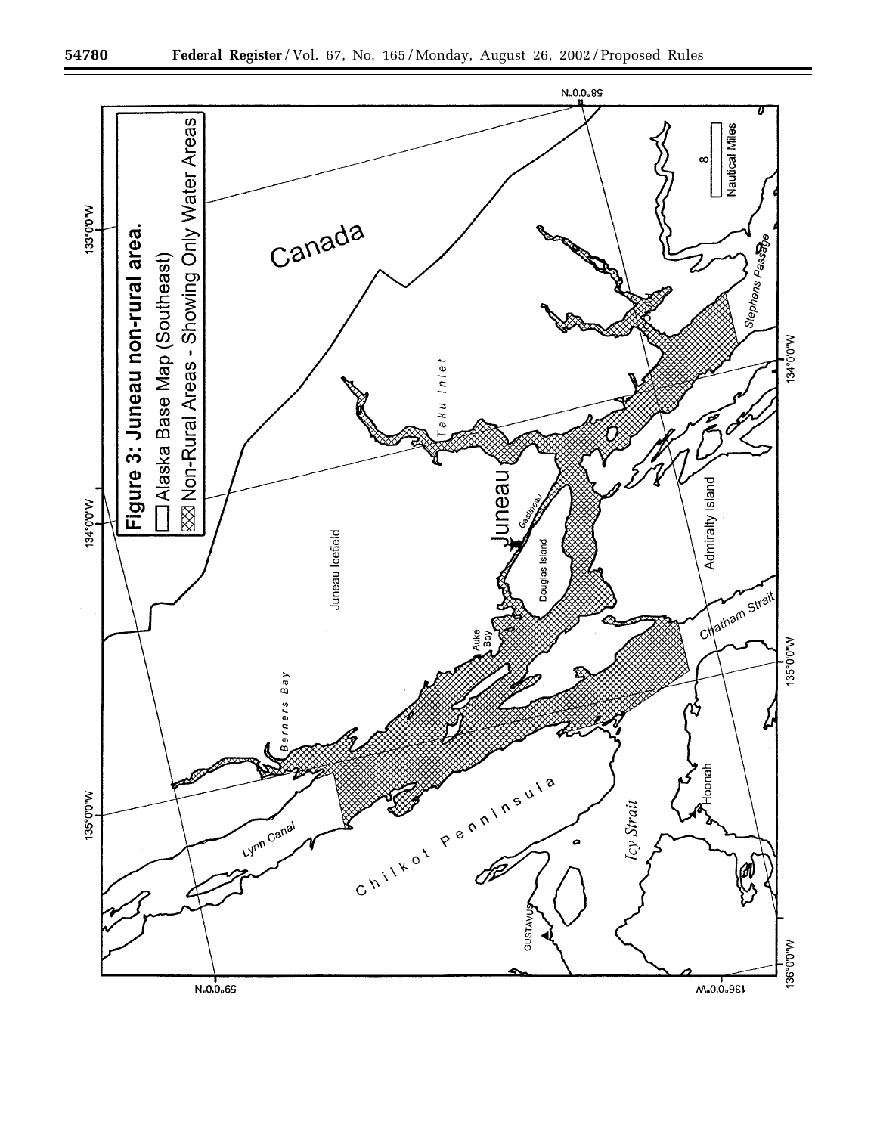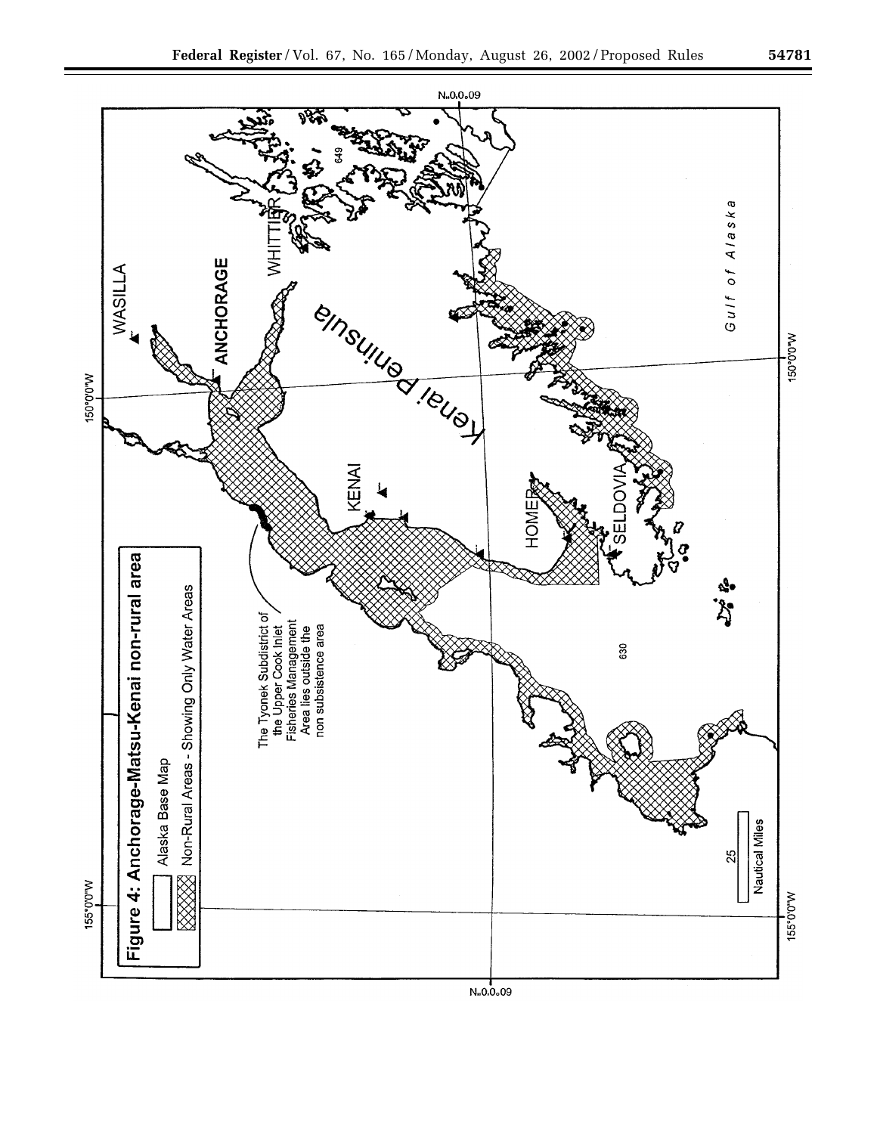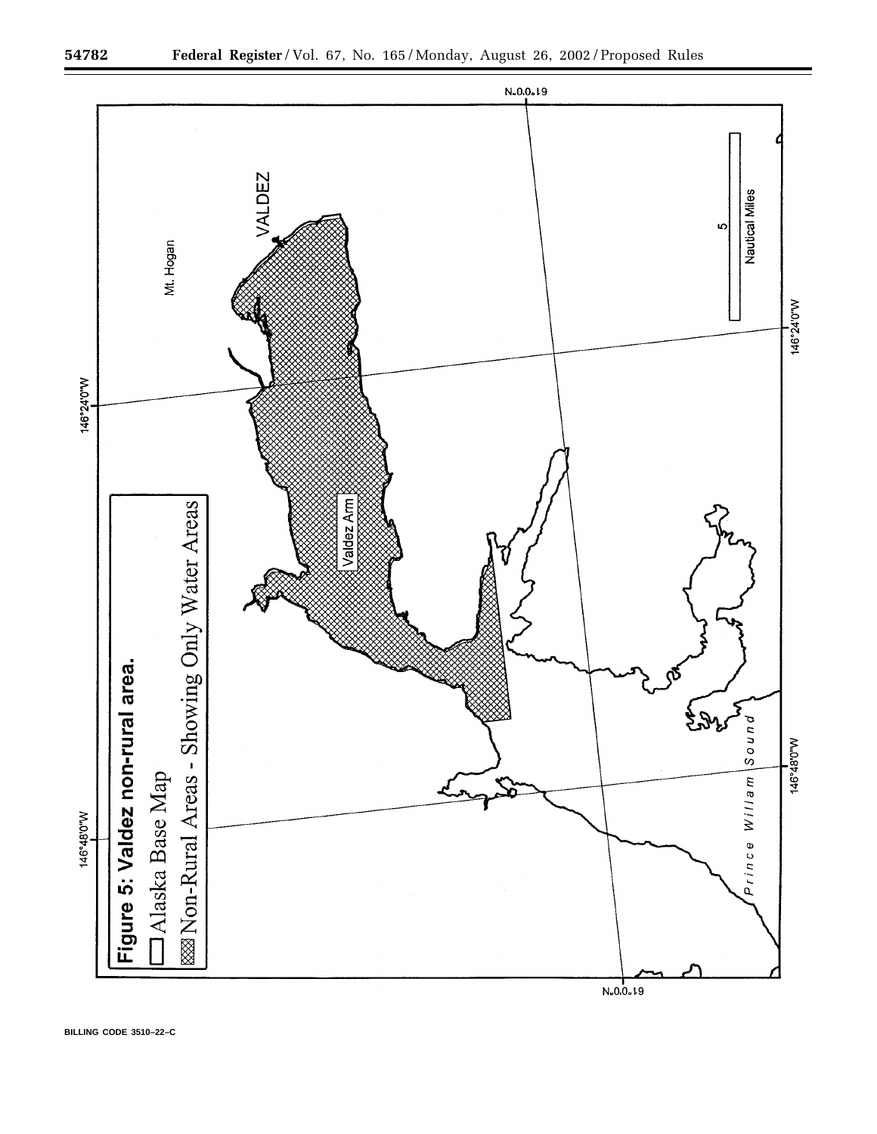